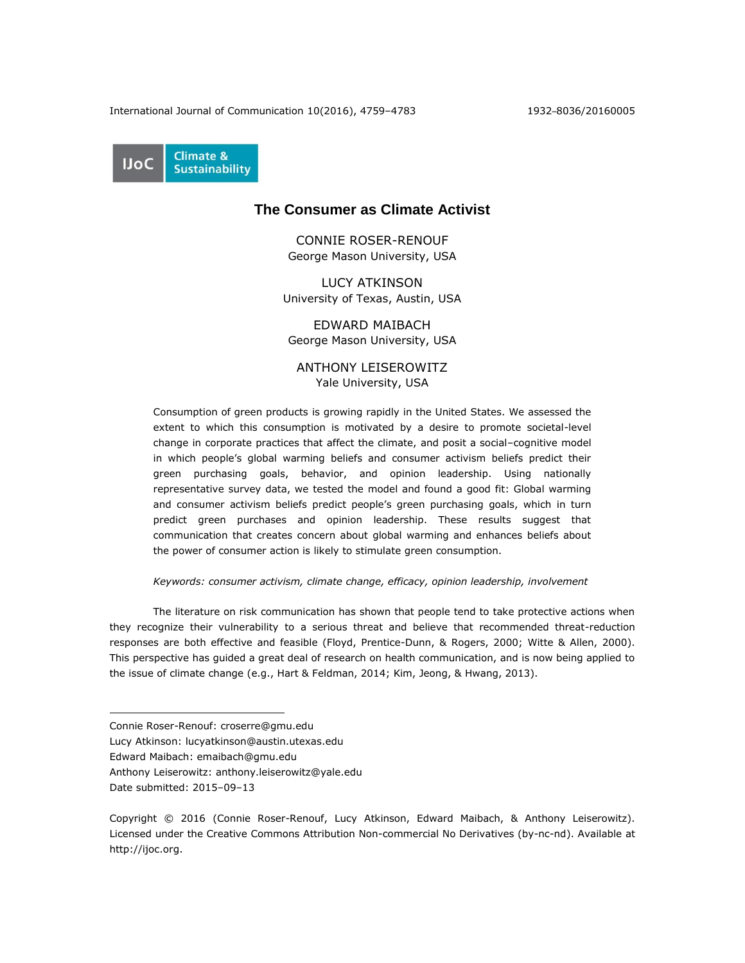International Journal of Communication 10(2016), 4759–4783 1932–8036/20160005

**Climate & UoC Sustainability** 

# **The Consumer as Climate Activist**

CONNIE ROSER-RENOUF George Mason University, USA

LUCY ATKINSON University of Texas, Austin, USA

EDWARD MAIBACH George Mason University, USA

ANTHONY LEISEROWITZ Yale University, USA

Consumption of green products is growing rapidly in the United States. We assessed the extent to which this consumption is motivated by a desire to promote societal-level change in corporate practices that affect the climate, and posit a social–cognitive model in which people's global warming beliefs and consumer activism beliefs predict their green purchasing goals, behavior, and opinion leadership. Using nationally representative survey data, we tested the model and found a good fit: Global warming and consumer activism beliefs predict people's green purchasing goals, which in turn predict green purchases and opinion leadership. These results suggest that communication that creates concern about global warming and enhances beliefs about the power of consumer action is likely to stimulate green consumption.

# *Keywords: consumer activism, climate change, efficacy, opinion leadership, involvement*

The literature on risk communication has shown that people tend to take protective actions when they recognize their vulnerability to a serious threat and believe that recommended threat-reduction responses are both effective and feasible (Floyd, Prentice-Dunn, & Rogers, 2000; Witte & Allen, 2000). This perspective has guided a great deal of research on health communication, and is now being applied to the issue of climate change (e.g., Hart & Feldman, 2014; Kim, Jeong, & Hwang, 2013).

Connie Roser-Renouf: croserre@gmu.edu

Lucy Atkinson: lucyatkinson@austin.utexas.edu

Edward Maibach: emaibach@gmu.edu

Anthony Leiserowitz: anthony.leiserowitz@yale.edu

Date submitted: 2015–09–13

Copyright © 2016 (Connie Roser-Renouf, Lucy Atkinson, Edward Maibach, & Anthony Leiserowitz). Licensed under the Creative Commons Attribution Non-commercial No Derivatives (by-nc-nd). Available at [http://ijoc.org.](http://ijoc.org/)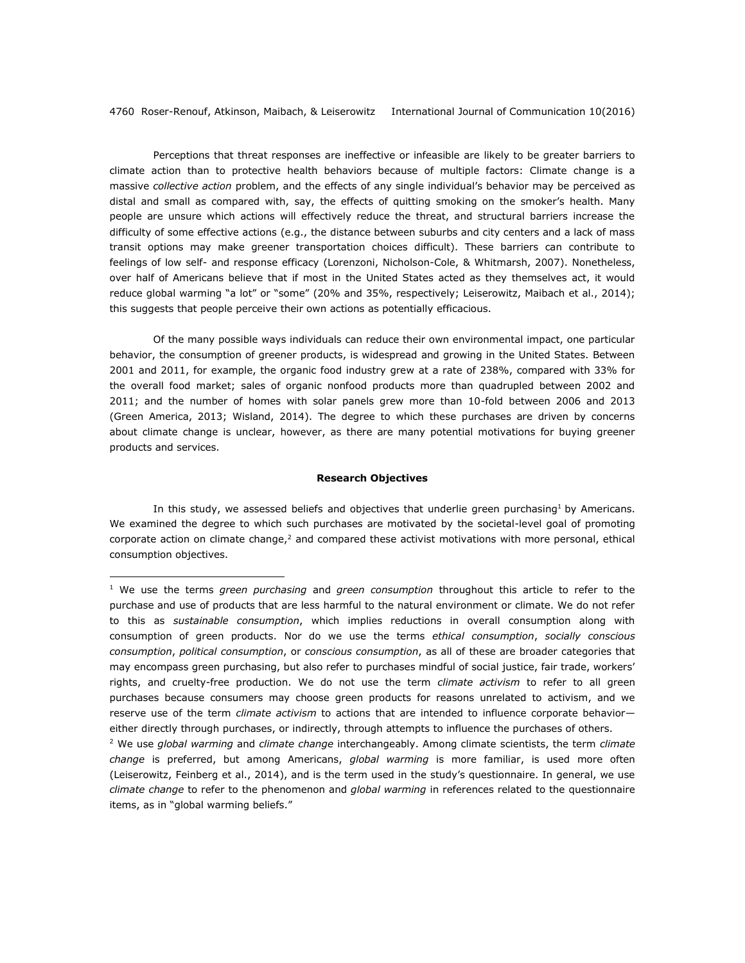Perceptions that threat responses are ineffective or infeasible are likely to be greater barriers to climate action than to protective health behaviors because of multiple factors: Climate change is a massive *collective action* problem, and the effects of any single individual's behavior may be perceived as distal and small as compared with, say, the effects of quitting smoking on the smoker's health. Many people are unsure which actions will effectively reduce the threat, and structural barriers increase the difficulty of some effective actions (e.g., the distance between suburbs and city centers and a lack of mass transit options may make greener transportation choices difficult). These barriers can contribute to feelings of low self- and response efficacy (Lorenzoni, Nicholson-Cole, & Whitmarsh, 2007). Nonetheless, over half of Americans believe that if most in the United States acted as they themselves act, it would reduce global warming "a lot" or "some" (20% and 35%, respectively; Leiserowitz, Maibach et al., 2014); this suggests that people perceive their own actions as potentially efficacious.

Of the many possible ways individuals can reduce their own environmental impact, one particular behavior, the consumption of greener products, is widespread and growing in the United States. Between 2001 and 2011, for example, the organic food industry grew at a rate of 238%, compared with 33% for the overall food market; sales of organic nonfood products more than quadrupled between 2002 and 2011; and the number of homes with solar panels grew more than 10-fold between 2006 and 2013 (Green America, 2013; Wisland, 2014). The degree to which these purchases are driven by concerns about climate change is unclear, however, as there are many potential motivations for buying greener products and services.

### **Research Objectives**

In this study, we assessed beliefs and objectives that underlie green purchasing<sup>1</sup> by Americans. We examined the degree to which such purchases are motivated by the societal-level goal of promoting corporate action on climate change, $<sup>2</sup>$  and compared these activist motivations with more personal, ethical</sup> consumption objectives.

<sup>1</sup> We use the terms *green purchasing* and *green consumption* throughout this article to refer to the purchase and use of products that are less harmful to the natural environment or climate. We do not refer to this as *sustainable consumption*, which implies reductions in overall consumption along with consumption of green products. Nor do we use the terms *ethical consumption*, *socially conscious consumption*, *political consumption*, or *conscious consumption*, as all of these are broader categories that may encompass green purchasing, but also refer to purchases mindful of social justice, fair trade, workers' rights, and cruelty-free production. We do not use the term *climate activism* to refer to all green purchases because consumers may choose green products for reasons unrelated to activism, and we reserve use of the term *climate activism* to actions that are intended to influence corporate behavior either directly through purchases, or indirectly, through attempts to influence the purchases of others*.*

<sup>2</sup> We use *global warming* and *climate change* interchangeably. Among climate scientists, the term *climate change* is preferred, but among Americans, *global warming* is more familiar, is used more often (Leiserowitz, Feinberg et al., 2014), and is the term used in the study's questionnaire. In general, we use *climate change* to refer to the phenomenon and *global warming* in references related to the questionnaire items, as in "global warming beliefs."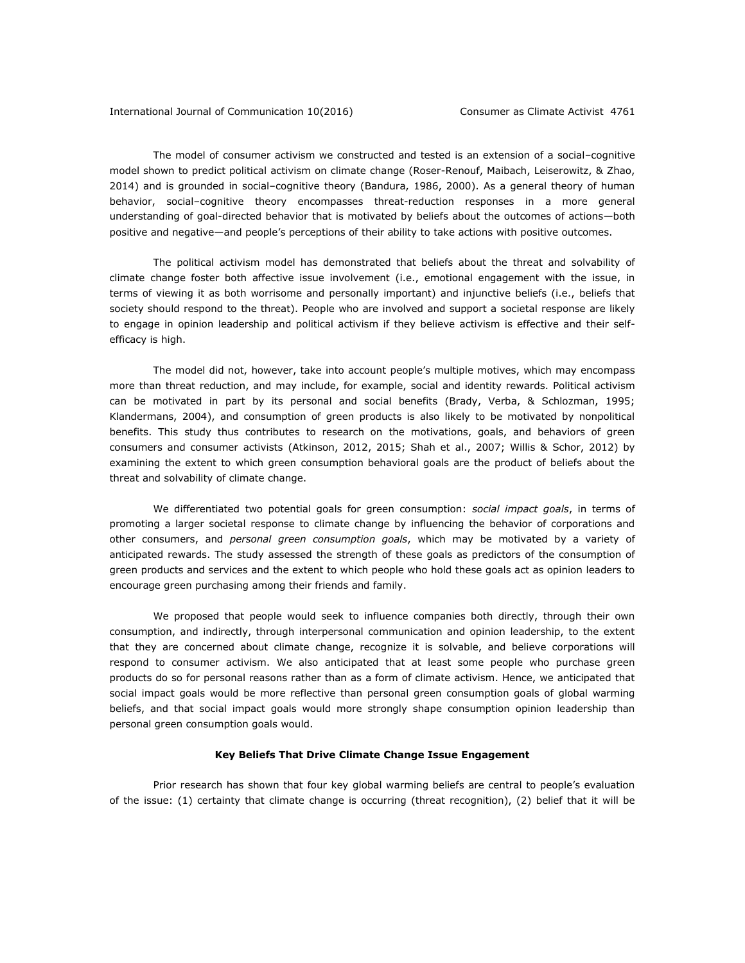The model of consumer activism we constructed and tested is an extension of a social–cognitive model shown to predict political activism on climate change (Roser-Renouf, Maibach, Leiserowitz, & Zhao, 2014) and is grounded in social–cognitive theory (Bandura, 1986, 2000). As a general theory of human behavior, social–cognitive theory encompasses threat-reduction responses in a more general understanding of goal-directed behavior that is motivated by beliefs about the outcomes of actions—both positive and negative—and people's perceptions of their ability to take actions with positive outcomes.

The political activism model has demonstrated that beliefs about the threat and solvability of climate change foster both affective issue involvement (i.e., emotional engagement with the issue, in terms of viewing it as both worrisome and personally important) and injunctive beliefs (i.e., beliefs that society should respond to the threat). People who are involved and support a societal response are likely to engage in opinion leadership and political activism if they believe activism is effective and their selfefficacy is high.

The model did not, however, take into account people's multiple motives, which may encompass more than threat reduction, and may include, for example, social and identity rewards. Political activism can be motivated in part by its personal and social benefits (Brady, Verba, & Schlozman, 1995; Klandermans, 2004), and consumption of green products is also likely to be motivated by nonpolitical benefits. This study thus contributes to research on the motivations, goals, and behaviors of green consumers and consumer activists (Atkinson, 2012, 2015; Shah et al., 2007; Willis & Schor, 2012) by examining the extent to which green consumption behavioral goals are the product of beliefs about the threat and solvability of climate change.

We differentiated two potential goals for green consumption: *social impact goals*, in terms of promoting a larger societal response to climate change by influencing the behavior of corporations and other consumers, and *personal green consumption goals*, which may be motivated by a variety of anticipated rewards. The study assessed the strength of these goals as predictors of the consumption of green products and services and the extent to which people who hold these goals act as opinion leaders to encourage green purchasing among their friends and family.

We proposed that people would seek to influence companies both directly, through their own consumption, and indirectly, through interpersonal communication and opinion leadership, to the extent that they are concerned about climate change, recognize it is solvable, and believe corporations will respond to consumer activism. We also anticipated that at least some people who purchase green products do so for personal reasons rather than as a form of climate activism. Hence, we anticipated that social impact goals would be more reflective than personal green consumption goals of global warming beliefs, and that social impact goals would more strongly shape consumption opinion leadership than personal green consumption goals would.

# **Key Beliefs That Drive Climate Change Issue Engagement**

Prior research has shown that four key global warming beliefs are central to people's evaluation of the issue: (1) certainty that climate change is occurring (threat recognition), (2) belief that it will be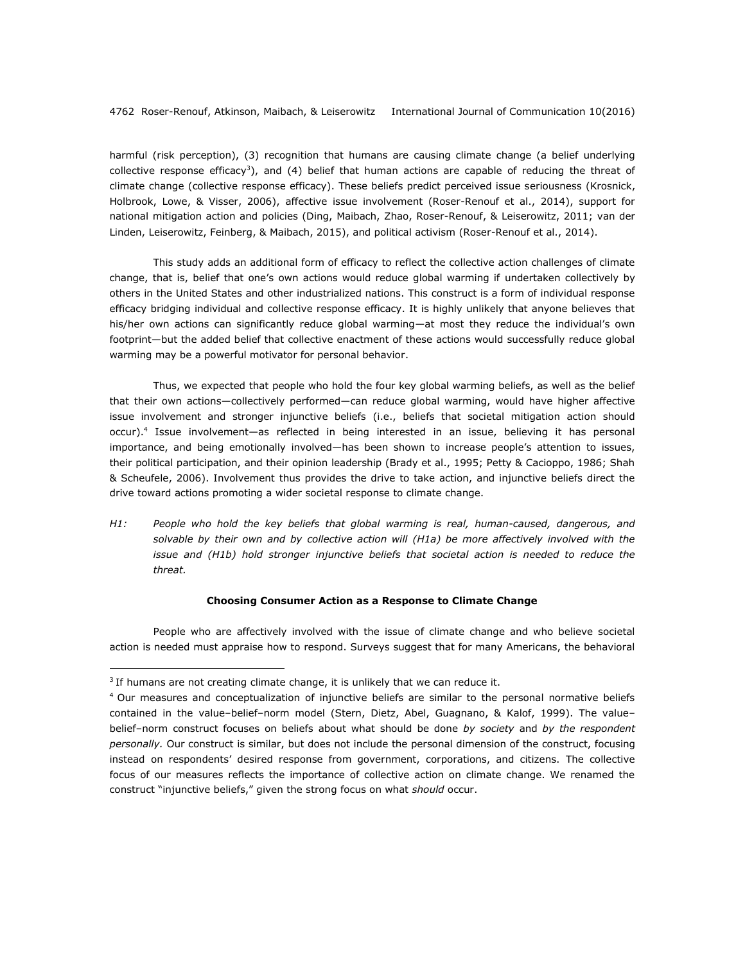harmful (risk perception), (3) recognition that humans are causing climate change (a belief underlying collective response efficacy<sup>3</sup>), and (4) belief that human actions are capable of reducing the threat of climate change (collective response efficacy). These beliefs predict perceived issue seriousness (Krosnick, Holbrook, Lowe, & Visser, 2006), affective issue involvement (Roser-Renouf et al., 2014), support for national mitigation action and policies (Ding, Maibach, Zhao, Roser-Renouf, & Leiserowitz, 2011; van der Linden, Leiserowitz, Feinberg, & Maibach, 2015), and political activism (Roser-Renouf et al., 2014).

This study adds an additional form of efficacy to reflect the collective action challenges of climate change, that is, belief that one's own actions would reduce global warming if undertaken collectively by others in the United States and other industrialized nations. This construct is a form of individual response efficacy bridging individual and collective response efficacy. It is highly unlikely that anyone believes that his/her own actions can significantly reduce global warming—at most they reduce the individual's own footprint—but the added belief that collective enactment of these actions would successfully reduce global warming may be a powerful motivator for personal behavior.

Thus, we expected that people who hold the four key global warming beliefs, as well as the belief that their own actions—collectively performed—can reduce global warming, would have higher affective issue involvement and stronger injunctive beliefs (i.e., beliefs that societal mitigation action should occur).<sup>4</sup> Issue involvement—as reflected in being interested in an issue, believing it has personal importance, and being emotionally involved—has been shown to increase people's attention to issues, their political participation, and their opinion leadership (Brady et al., 1995; Petty & Cacioppo, 1986; Shah & Scheufele, 2006). Involvement thus provides the drive to take action, and injunctive beliefs direct the drive toward actions promoting a wider societal response to climate change.

*H1: People who hold the key beliefs that global warming is real, human-caused, dangerous, and solvable by their own and by collective action will (H1a) be more affectively involved with the issue and (H1b) hold stronger injunctive beliefs that societal action is needed to reduce the threat.*

# **Choosing Consumer Action as a Response to Climate Change**

People who are affectively involved with the issue of climate change and who believe societal action is needed must appraise how to respond. Surveys suggest that for many Americans, the behavioral

 $3$  If humans are not creating climate change, it is unlikely that we can reduce it.

<sup>4</sup> Our measures and conceptualization of injunctive beliefs are similar to the personal normative beliefs contained in the value–belief–norm model (Stern, Dietz, Abel, Guagnano, & Kalof, 1999). The value– belief–norm construct focuses on beliefs about what should be done *by society* and *by the respondent personally.* Our construct is similar, but does not include the personal dimension of the construct, focusing instead on respondents' desired response from government, corporations, and citizens. The collective focus of our measures reflects the importance of collective action on climate change. We renamed the construct "injunctive beliefs," given the strong focus on what *should* occur.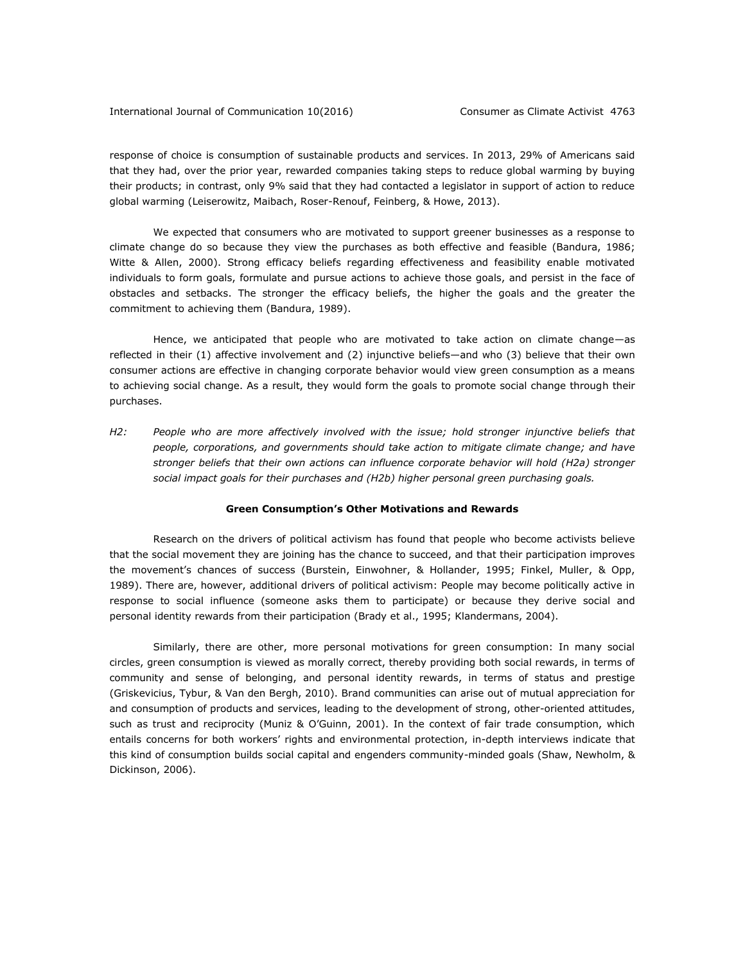response of choice is consumption of sustainable products and services. In 2013, 29% of Americans said that they had, over the prior year, rewarded companies taking steps to reduce global warming by buying their products; in contrast, only 9% said that they had contacted a legislator in support of action to reduce global warming (Leiserowitz, Maibach, Roser-Renouf, Feinberg, & Howe, 2013).

We expected that consumers who are motivated to support greener businesses as a response to climate change do so because they view the purchases as both effective and feasible (Bandura, 1986; Witte & Allen, 2000). Strong efficacy beliefs regarding effectiveness and feasibility enable motivated individuals to form goals, formulate and pursue actions to achieve those goals, and persist in the face of obstacles and setbacks. The stronger the efficacy beliefs, the higher the goals and the greater the commitment to achieving them (Bandura, 1989).

Hence, we anticipated that people who are motivated to take action on climate change—as reflected in their (1) affective involvement and (2) injunctive beliefs—and who (3) believe that their own consumer actions are effective in changing corporate behavior would view green consumption as a means to achieving social change. As a result, they would form the goals to promote social change through their purchases.

*H2: People who are more affectively involved with the issue; hold stronger injunctive beliefs that people, corporations, and governments should take action to mitigate climate change; and have stronger beliefs that their own actions can influence corporate behavior will hold (H2a) stronger social impact goals for their purchases and (H2b) higher personal green purchasing goals.* 

### **Green Consumption's Other Motivations and Rewards**

Research on the drivers of political activism has found that people who become activists believe that the social movement they are joining has the chance to succeed, and that their participation improves the movement's chances of success (Burstein, Einwohner, & Hollander, 1995; Finkel, Muller, & Opp, 1989). There are, however, additional drivers of political activism: People may become politically active in response to social influence (someone asks them to participate) or because they derive social and personal identity rewards from their participation (Brady et al., 1995; Klandermans, 2004).

Similarly, there are other, more personal motivations for green consumption: In many social circles, green consumption is viewed as morally correct, thereby providing both social rewards, in terms of community and sense of belonging, and personal identity rewards, in terms of status and prestige (Griskevicius, Tybur, & Van den Bergh, 2010). Brand communities can arise out of mutual appreciation for and consumption of products and services, leading to the development of strong, other-oriented attitudes, such as trust and reciprocity (Muniz & O'Guinn, 2001). In the context of fair trade consumption, which entails concerns for both workers' rights and environmental protection, in-depth interviews indicate that this kind of consumption builds social capital and engenders community-minded goals (Shaw, Newholm, & Dickinson, 2006).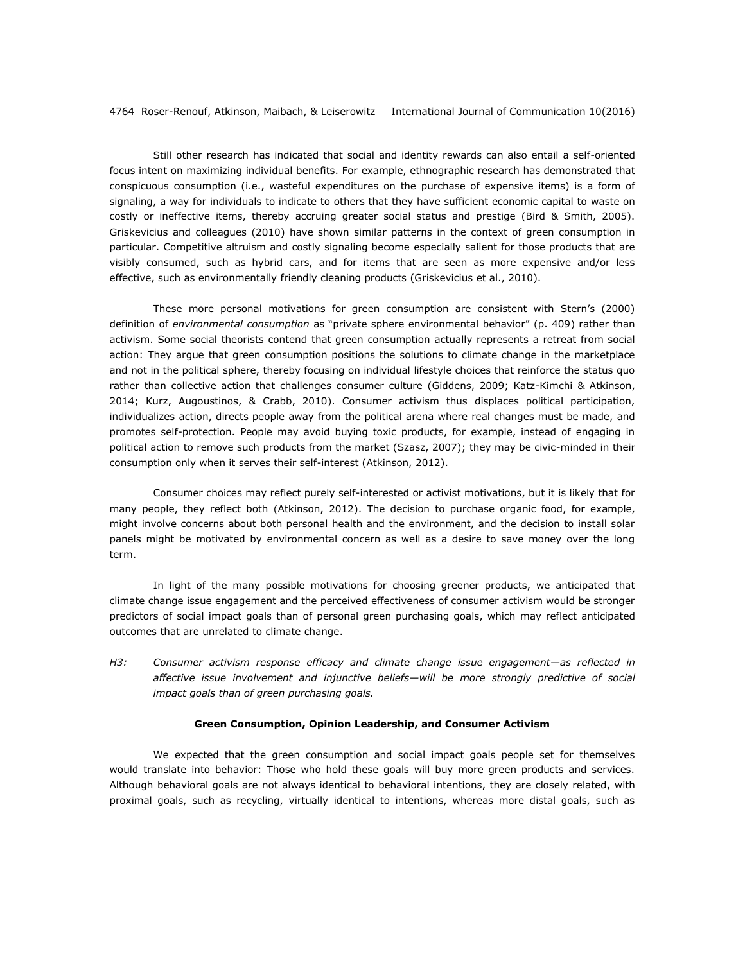Still other research has indicated that social and identity rewards can also entail a self-oriented focus intent on maximizing individual benefits. For example, ethnographic research has demonstrated that conspicuous consumption (i.e., wasteful expenditures on the purchase of expensive items) is a form of signaling, a way for individuals to indicate to others that they have sufficient economic capital to waste on costly or ineffective items, thereby accruing greater social status and prestige (Bird & Smith, 2005). Griskevicius and colleagues (2010) have shown similar patterns in the context of green consumption in particular. Competitive altruism and costly signaling become especially salient for those products that are visibly consumed, such as hybrid cars, and for items that are seen as more expensive and/or less effective, such as environmentally friendly cleaning products (Griskevicius et al., 2010).

These more personal motivations for green consumption are consistent with Stern's (2000) definition of *environmental consumption* as "private sphere environmental behavior" (p. 409) rather than activism. Some social theorists contend that green consumption actually represents a retreat from social action: They argue that green consumption positions the solutions to climate change in the marketplace and not in the political sphere, thereby focusing on individual lifestyle choices that reinforce the status quo rather than collective action that challenges consumer culture (Giddens, 2009; Katz-Kimchi & Atkinson, 2014; Kurz, Augoustinos, & Crabb, 2010). Consumer activism thus displaces political participation, individualizes action, directs people away from the political arena where real changes must be made, and promotes self-protection. People may avoid buying toxic products, for example, instead of engaging in political action to remove such products from the market (Szasz, 2007); they may be civic-minded in their consumption only when it serves their self-interest (Atkinson, 2012).

Consumer choices may reflect purely self-interested or activist motivations, but it is likely that for many people, they reflect both (Atkinson, 2012). The decision to purchase organic food, for example, might involve concerns about both personal health and the environment, and the decision to install solar panels might be motivated by environmental concern as well as a desire to save money over the long term.

In light of the many possible motivations for choosing greener products, we anticipated that climate change issue engagement and the perceived effectiveness of consumer activism would be stronger predictors of social impact goals than of personal green purchasing goals, which may reflect anticipated outcomes that are unrelated to climate change.

*H3: Consumer activism response efficacy and climate change issue engagement—as reflected in affective issue involvement and injunctive beliefs—will be more strongly predictive of social impact goals than of green purchasing goals.*

## **Green Consumption, Opinion Leadership, and Consumer Activism**

We expected that the green consumption and social impact goals people set for themselves would translate into behavior: Those who hold these goals will buy more green products and services. Although behavioral goals are not always identical to behavioral intentions, they are closely related, with proximal goals, such as recycling, virtually identical to intentions, whereas more distal goals, such as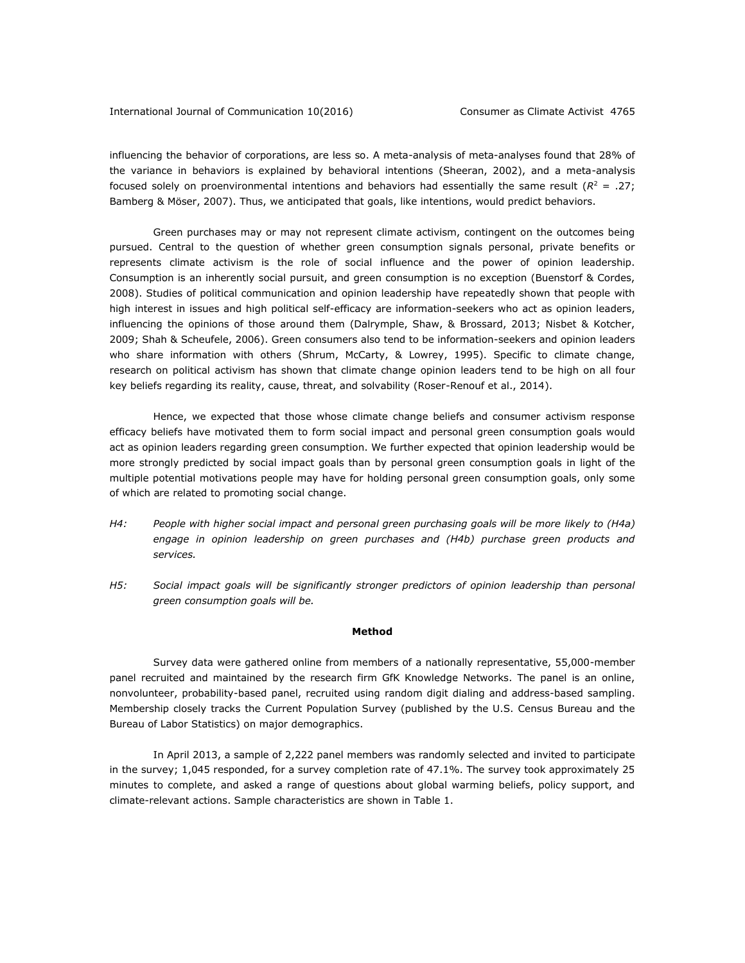## International Journal of Communication 10(2016) Consumer as Climate Activist 4765

influencing the behavior of corporations, are less so. A meta-analysis of meta-analyses found that 28% of the variance in behaviors is explained by behavioral intentions (Sheeran, 2002), and a meta-analysis focused solely on proenvironmental intentions and behaviors had essentially the same result ( $R^2 = .27$ ; Bamberg & Möser, 2007). Thus, we anticipated that goals, like intentions, would predict behaviors.

Green purchases may or may not represent climate activism, contingent on the outcomes being pursued. Central to the question of whether green consumption signals personal, private benefits or represents climate activism is the role of social influence and the power of opinion leadership. Consumption is an inherently social pursuit, and green consumption is no exception (Buenstorf & Cordes, 2008). Studies of political communication and opinion leadership have repeatedly shown that people with high interest in issues and high political self-efficacy are information-seekers who act as opinion leaders, influencing the opinions of those around them (Dalrymple, Shaw, & Brossard, 2013; Nisbet & Kotcher, 2009; Shah & Scheufele, 2006). Green consumers also tend to be information-seekers and opinion leaders who share information with others (Shrum, McCarty, & Lowrey, 1995). Specific to climate change, research on political activism has shown that climate change opinion leaders tend to be high on all four key beliefs regarding its reality, cause, threat, and solvability (Roser-Renouf et al., 2014).

Hence, we expected that those whose climate change beliefs and consumer activism response efficacy beliefs have motivated them to form social impact and personal green consumption goals would act as opinion leaders regarding green consumption. We further expected that opinion leadership would be more strongly predicted by social impact goals than by personal green consumption goals in light of the multiple potential motivations people may have for holding personal green consumption goals, only some of which are related to promoting social change.

- *H4: People with higher social impact and personal green purchasing goals will be more likely to (H4a) engage in opinion leadership on green purchases and (H4b) purchase green products and services.*
- H5: Social impact goals will be significantly stronger predictors of opinion leadership than personal *green consumption goals will be.*

## **Method**

Survey data were gathered online from members of a nationally representative, 55,000-member panel recruited and maintained by the research firm GfK Knowledge Networks. The panel is an online, nonvolunteer, probability-based panel, recruited using random digit dialing and address-based sampling. Membership closely tracks the Current Population Survey (published by the U.S. Census Bureau and the Bureau of Labor Statistics) on major demographics.

In April 2013, a sample of 2,222 panel members was randomly selected and invited to participate in the survey; 1,045 responded, for a survey completion rate of 47.1%. The survey took approximately 25 minutes to complete, and asked a range of questions about global warming beliefs, policy support, and climate-relevant actions. Sample characteristics are shown in Table 1.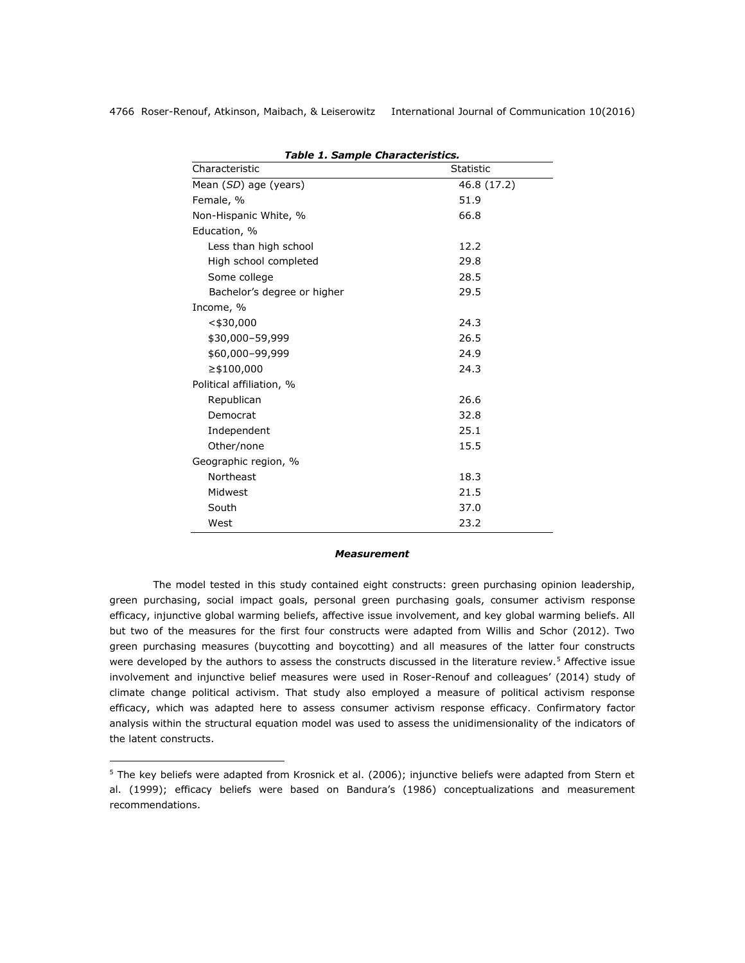| Table 1. Sample Characteristics. |                  |  |  |  |
|----------------------------------|------------------|--|--|--|
| Characteristic                   | <b>Statistic</b> |  |  |  |
| Mean (SD) age (years)            | 46.8 (17.2)      |  |  |  |
| Female, %                        | 51.9             |  |  |  |
| Non-Hispanic White, %            | 66.8             |  |  |  |
| Education, %                     |                  |  |  |  |
| Less than high school            | 12.2             |  |  |  |
| High school completed            | 29.8             |  |  |  |
| Some college                     | 28.5             |  |  |  |
| Bachelor's degree or higher      | 29.5             |  |  |  |
| Income, %                        |                  |  |  |  |
| $<$ \$30,000                     | 24.3             |  |  |  |
| \$30,000-59,999                  | 26.5             |  |  |  |
| \$60,000-99,999                  | 24.9             |  |  |  |
| ≥\$100,000                       | 24.3             |  |  |  |
| Political affiliation, %         |                  |  |  |  |
| Republican                       | 26.6             |  |  |  |
| Democrat                         | 32.8             |  |  |  |
| Independent                      | 25.1             |  |  |  |
| Other/none                       | 15.5             |  |  |  |
| Geographic region, %             |                  |  |  |  |
| Northeast                        | 18.3             |  |  |  |
| Midwest                          | 21.5             |  |  |  |
| South                            | 37.0             |  |  |  |
| West                             | 23.2             |  |  |  |

*Table 1. Sample Characteristics.*

#### *Measurement*

The model tested in this study contained eight constructs: green purchasing opinion leadership, green purchasing, social impact goals, personal green purchasing goals, consumer activism response efficacy, injunctive global warming beliefs, affective issue involvement, and key global warming beliefs. All but two of the measures for the first four constructs were adapted from Willis and Schor (2012). Two green purchasing measures (buycotting and boycotting) and all measures of the latter four constructs were developed by the authors to assess the constructs discussed in the literature review.<sup>5</sup> Affective issue involvement and injunctive belief measures were used in Roser-Renouf and colleagues' (2014) study of climate change political activism. That study also employed a measure of political activism response efficacy, which was adapted here to assess consumer activism response efficacy. Confirmatory factor analysis within the structural equation model was used to assess the unidimensionality of the indicators of the latent constructs.

<sup>&</sup>lt;sup>5</sup> The key beliefs were adapted from Krosnick et al. (2006); injunctive beliefs were adapted from Stern et al. (1999); efficacy beliefs were based on Bandura's (1986) conceptualizations and measurement recommendations.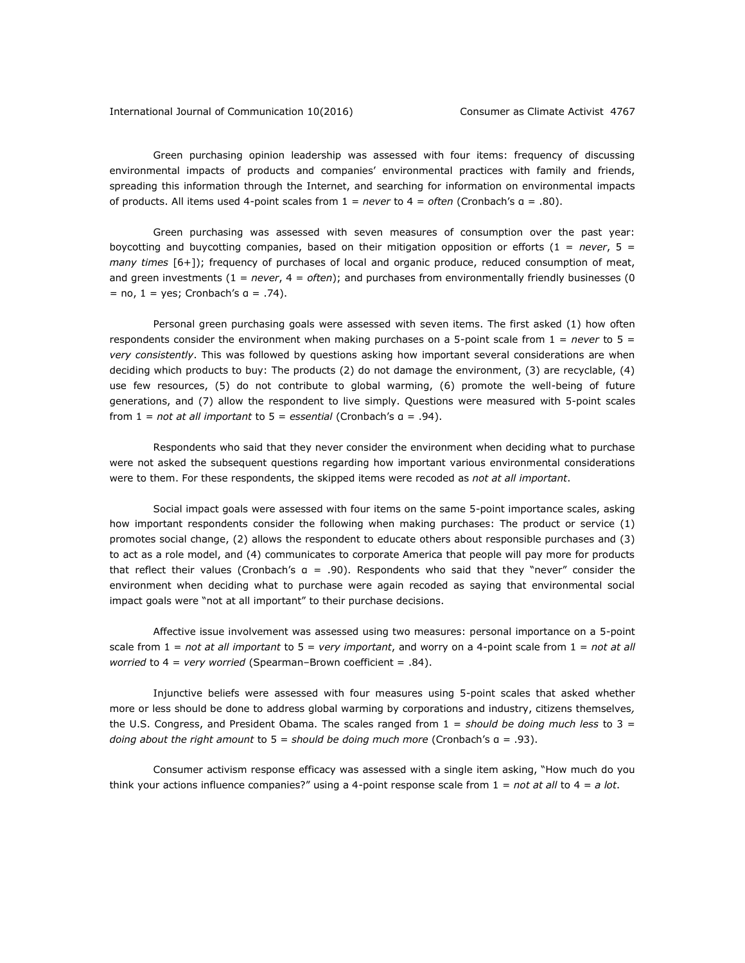### International Journal of Communication 10(2016) Consumer as Climate Activist 4767

Green purchasing opinion leadership was assessed with four items: frequency of discussing environmental impacts of products and companies' environmental practices with family and friends, spreading this information through the Internet, and searching for information on environmental impacts of products. All items used 4-point scales from 1 = *never* to 4 = *often* (Cronbach's α = .80).

Green purchasing was assessed with seven measures of consumption over the past year: boycotting and buycotting companies, based on their mitigation opposition or efforts (1 = *never*, 5 = *many times* [6+]); frequency of purchases of local and organic produce, reduced consumption of meat, and green investments (1 = *never*, 4 = *often*); and purchases from environmentally friendly businesses (0  $=$  no,  $1 =$  yes; Cronbach's  $a = .74$ ).

Personal green purchasing goals were assessed with seven items. The first asked (1) how often respondents consider the environment when making purchases on a 5-point scale from 1 = *never* to 5 = *very consistently*. This was followed by questions asking how important several considerations are when deciding which products to buy: The products (2) do not damage the environment, (3) are recyclable, (4) use few resources, (5) do not contribute to global warming, (6) promote the well-being of future generations, and (7) allow the respondent to live simply. Questions were measured with 5-point scales from 1 = *not at all important* to 5 = *essential* (Cronbach's α = .94).

Respondents who said that they never consider the environment when deciding what to purchase were not asked the subsequent questions regarding how important various environmental considerations were to them. For these respondents, the skipped items were recoded as *not at all important*.

Social impact goals were assessed with four items on the same 5-point importance scales, asking how important respondents consider the following when making purchases: The product or service (1) promotes social change, (2) allows the respondent to educate others about responsible purchases and (3) to act as a role model, and (4) communicates to corporate America that people will pay more for products that reflect their values (Cronbach's α = .90). Respondents who said that they "never" consider the environment when deciding what to purchase were again recoded as saying that environmental social impact goals were "not at all important" to their purchase decisions.

Affective issue involvement was assessed using two measures: personal importance on a 5-point scale from 1 = *not at all important* to 5 = *very important*, and worry on a 4-point scale from 1 = *not at all worried* to 4 = *very worried* (Spearman–Brown coefficient = .84).

Injunctive beliefs were assessed with four measures using 5-point scales that asked whether more or less should be done to address global warming by corporations and industry, citizens themselves*,* the U.S. Congress, and President Obama. The scales ranged from 1 = *should be doing much less* to 3 = *doing about the right amount* to 5 = *should be doing much more* (Cronbach's α = .93).

Consumer activism response efficacy was assessed with a single item asking, "How much do you think your actions influence companies?" using a 4-point response scale from 1 = *not at all* to 4 = *a lot*.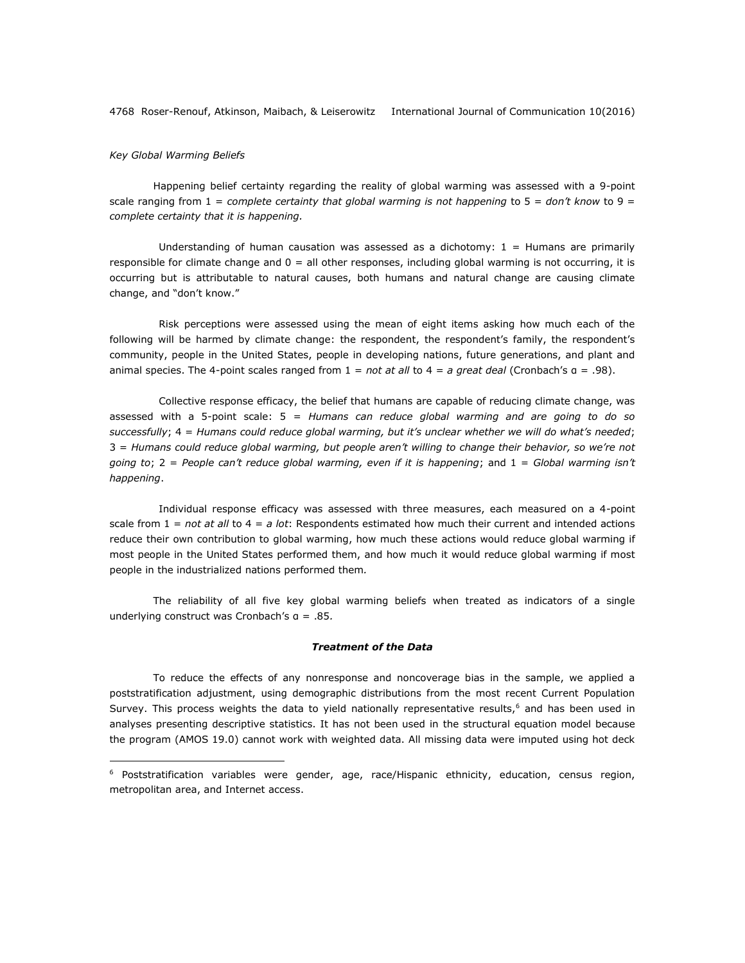# *Key Global Warming Beliefs*

 $\overline{a}$ 

Happening belief certainty regarding the reality of global warming was assessed with a 9-point scale ranging from 1 = *complete certainty that global warming is not happening* to 5 = *don't know* to 9 = *complete certainty that it is happening.*

Understanding of human causation was assessed as a dichotomy:  $1 =$  Humans are primarily responsible for climate change and  $0 =$  all other responses, including global warming is not occurring, it is occurring but is attributable to natural causes, both humans and natural change are causing climate change, and "don't know."

Risk perceptions were assessed using the mean of eight items asking how much each of the following will be harmed by climate change: the respondent, the respondent's family, the respondent's community, people in the United States, people in developing nations, future generations, and plant and animal species. The 4-point scales ranged from 1 = *not at all* to 4 = *a great deal* (Cronbach's α = .98).

Collective response efficacy, the belief that humans are capable of reducing climate change, was assessed with a 5-point scale: 5 = *Humans can reduce global warming and are going to do so successfully*; 4 = *Humans could reduce global warming, but it's unclear whether we will do what's needed*; 3 = *Humans could reduce global warming, but people aren't willing to change their behavior, so we're not going to*; 2 = *People can't reduce global warming, even if it is happening*; and 1 = *Global warming isn't happening*.

Individual response efficacy was assessed with three measures, each measured on a 4-point scale from 1 = *not at all* to 4 = *a lot*: Respondents estimated how much their current and intended actions reduce their own contribution to global warming, how much these actions would reduce global warming if most people in the United States performed them, and how much it would reduce global warming if most people in the industrialized nations performed them*.* 

The reliability of all five key global warming beliefs when treated as indicators of a single underlying construct was Cronbach's α = .85*.*

# *Treatment of the Data*

To reduce the effects of any nonresponse and noncoverage bias in the sample, we applied a poststratification adjustment, using demographic distributions from the most recent Current Population Survey. This process weights the data to yield nationally representative results, $<sup>6</sup>$  and has been used in</sup> analyses presenting descriptive statistics. It has not been used in the structural equation model because the program (AMOS 19.0) cannot work with weighted data. All missing data were imputed using hot deck

 $6$  Poststratification variables were gender, age, race/Hispanic ethnicity, education, census region, metropolitan area, and Internet access.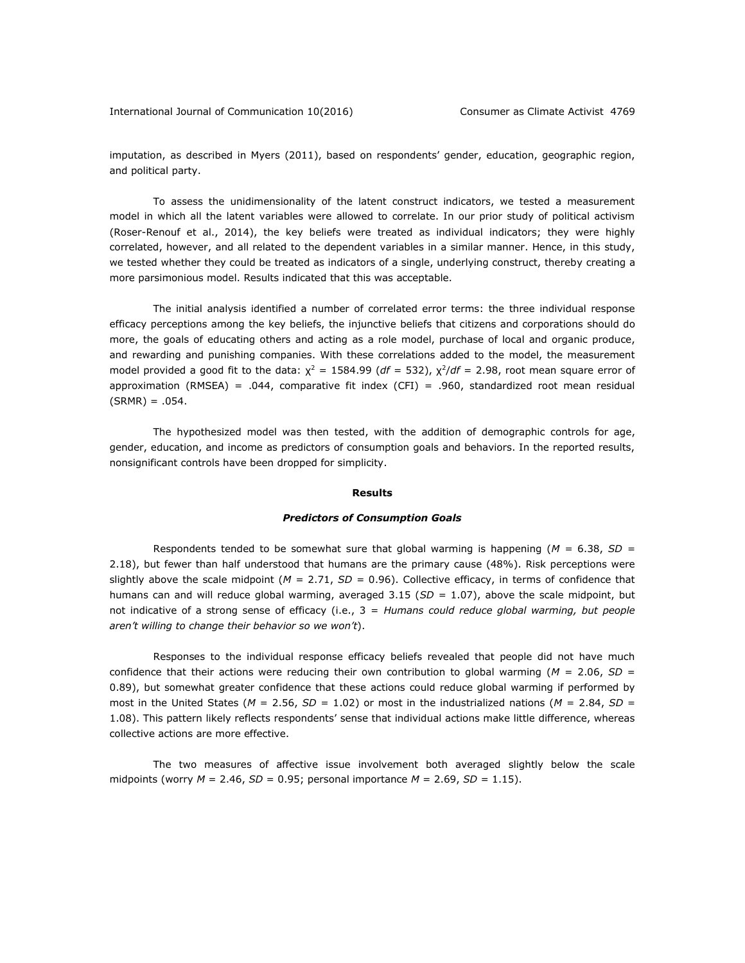International Journal of Communication 10(2016) Consumer as Climate Activist 4769

imputation, as described in Myers (2011), based on respondents' gender, education, geographic region, and political party.

To assess the unidimensionality of the latent construct indicators, we tested a measurement model in which all the latent variables were allowed to correlate. In our prior study of political activism (Roser-Renouf et al., 2014), the key beliefs were treated as individual indicators; they were highly correlated, however, and all related to the dependent variables in a similar manner. Hence, in this study, we tested whether they could be treated as indicators of a single, underlying construct, thereby creating a more parsimonious model. Results indicated that this was acceptable.

The initial analysis identified a number of correlated error terms: the three individual response efficacy perceptions among the key beliefs, the injunctive beliefs that citizens and corporations should do more, the goals of educating others and acting as a role model, purchase of local and organic produce, and rewarding and punishing companies. With these correlations added to the model, the measurement model provided a good fit to the data:  $\chi^2 = 1584.99$  (*df* = 532),  $\chi^2/df = 2.98$ , root mean square error of approximation (RMSEA) = .044, comparative fit index (CFI) = .960, standardized root mean residual  $(SRMR) = .054$ .

The hypothesized model was then tested, with the addition of demographic controls for age, gender, education, and income as predictors of consumption goals and behaviors. In the reported results, nonsignificant controls have been dropped for simplicity.

### **Results**

#### *Predictors of Consumption Goals*

Respondents tended to be somewhat sure that global warming is happening (*M =* 6.38, *SD =*  2.18), but fewer than half understood that humans are the primary cause (48%). Risk perceptions were slightly above the scale midpoint (*M =* 2.71, *SD =* 0.96). Collective efficacy, in terms of confidence that humans can and will reduce global warming, averaged 3.15 (*SD =* 1.07), above the scale midpoint, but not indicative of a strong sense of efficacy (i.e., 3 = *Humans could reduce global warming, but people aren't willing to change their behavior so we won't*).

Responses to the individual response efficacy beliefs revealed that people did not have much confidence that their actions were reducing their own contribution to global warming (*M* = 2.06, *SD* = 0.89), but somewhat greater confidence that these actions could reduce global warming if performed by most in the United States (*M* = 2.56, *SD* = 1.02) or most in the industrialized nations (*M* = 2.84, *SD* = 1.08). This pattern likely reflects respondents' sense that individual actions make little difference, whereas collective actions are more effective.

The two measures of affective issue involvement both averaged slightly below the scale midpoints (worry  $M = 2.46$ ,  $SD = 0.95$ ; personal importance  $M = 2.69$ ,  $SD = 1.15$ ).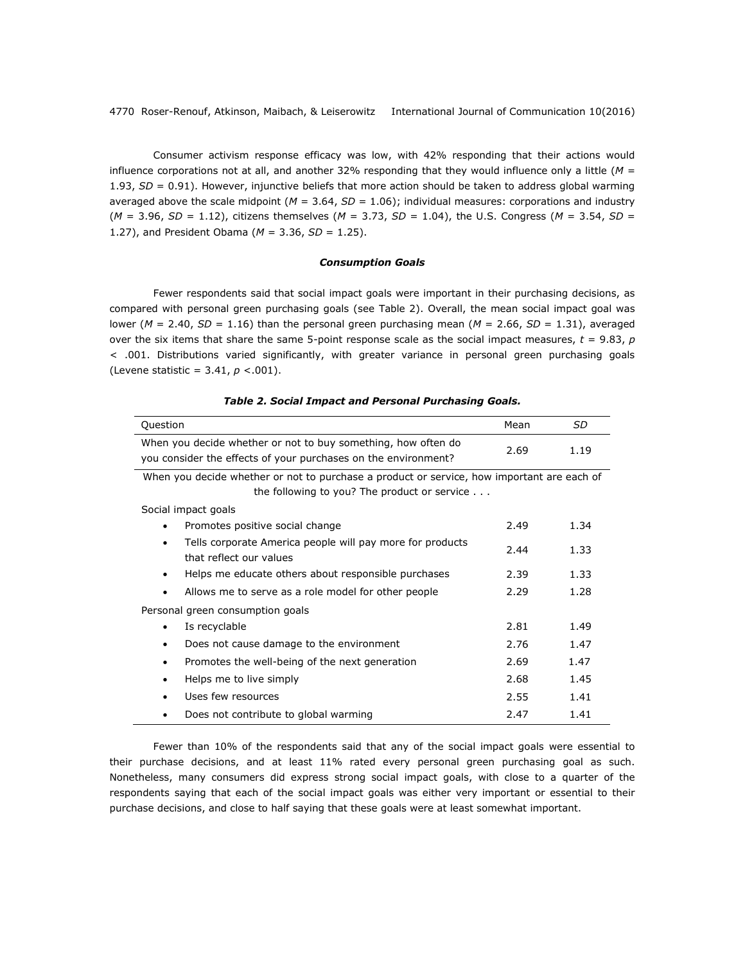Consumer activism response efficacy was low, with 42% responding that their actions would influence corporations not at all, and another 32% responding that they would influence only a little (*M* = 1.93, *SD* = 0.91). However, injunctive beliefs that more action should be taken to address global warming averaged above the scale midpoint (*M* = 3.64, *SD* = 1.06); individual measures: corporations and industry (*M* = 3.96, *SD* = 1.12), citizens themselves (*M* = 3.73, *SD* = 1.04), the U.S. Congress (*M* = 3.54, *SD* = 1.27), and President Obama (*M* = 3.36, *SD* = 1.25).

# *Consumption Goals*

Fewer respondents said that social impact goals were important in their purchasing decisions, as compared with personal green purchasing goals (see Table 2). Overall, the mean social impact goal was lower (*M* = 2.40, *SD* = 1.16) than the personal green purchasing mean (*M* = 2.66, *SD* = 1.31), averaged over the six items that share the same 5-point response scale as the social impact measures,  $t = 9.83$ ,  $p$ < .001. Distributions varied significantly, with greater variance in personal green purchasing goals (Levene statistic = 3.41, *p* <.001).

| Question                                                                                                                        | Mean | SD.  |
|---------------------------------------------------------------------------------------------------------------------------------|------|------|
| When you decide whether or not to buy something, how often do<br>you consider the effects of your purchases on the environment? | 2.69 | 1.19 |
| When you decide whether or not to purchase a product or service, how important are each of                                      |      |      |
| the following to you? The product or service $\ldots$                                                                           |      |      |
| Social impact goals                                                                                                             |      |      |
| Promotes positive social change<br>$\bullet$                                                                                    | 2.49 | 1.34 |
| Tells corporate America people will pay more for products<br>٠<br>that reflect our values                                       | 2.44 | 1.33 |
| Helps me educate others about responsible purchases<br>٠                                                                        | 2.39 | 1.33 |
| Allows me to serve as a role model for other people<br>٠                                                                        | 2.29 | 1.28 |
| Personal green consumption goals                                                                                                |      |      |
| Is recyclable<br>٠                                                                                                              | 2.81 | 1.49 |
| Does not cause damage to the environment<br>٠                                                                                   | 2.76 | 1.47 |
| Promotes the well-being of the next generation<br>$\bullet$                                                                     | 2.69 | 1.47 |
| Helps me to live simply<br>٠                                                                                                    | 2.68 | 1.45 |
| Uses few resources                                                                                                              | 2.55 | 1.41 |
| Does not contribute to global warming                                                                                           | 2.47 | 1.41 |

## *Table 2. Social Impact and Personal Purchasing Goals.*

Fewer than 10% of the respondents said that any of the social impact goals were essential to their purchase decisions, and at least 11% rated every personal green purchasing goal as such. Nonetheless, many consumers did express strong social impact goals, with close to a quarter of the respondents saying that each of the social impact goals was either very important or essential to their purchase decisions, and close to half saying that these goals were at least somewhat important.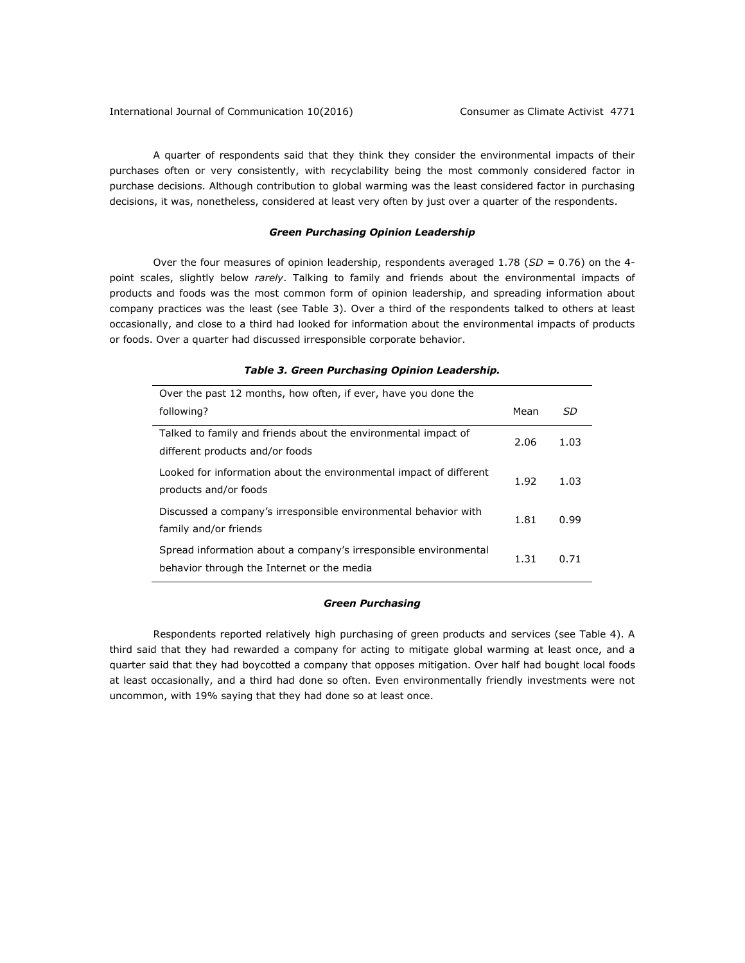A quarter of respondents said that they think they consider the environmental impacts of their purchases often or very consistently, with recyclability being the most commonly considered factor in purchase decisions. Although contribution to global warming was the least considered factor in purchasing decisions, it was, nonetheless, considered at least very often by just over a quarter of the respondents.

### *Green Purchasing Opinion Leadership*

Over the four measures of opinion leadership, respondents averaged 1.78 (*SD =* 0.76) on the 4 point scales, slightly below *rarely*. Talking to family and friends about the environmental impacts of products and foods was the most common form of opinion leadership, and spreading information about company practices was the least (see Table 3). Over a third of the respondents talked to others at least occasionally, and close to a third had looked for information about the environmental impacts of products or foods. Over a quarter had discussed irresponsible corporate behavior.

# *Table 3. Green Purchasing Opinion Leadership.*

| Over the past 12 months, how often, if ever, have you done the                                                 |      |      |  |
|----------------------------------------------------------------------------------------------------------------|------|------|--|
| following?                                                                                                     | Mean | SD   |  |
| Talked to family and friends about the environmental impact of<br>different products and/or foods              | 2.06 | 1.03 |  |
| Looked for information about the environmental impact of different<br>products and/or foods                    | 1.92 | 1.03 |  |
| Discussed a company's irresponsible environmental behavior with<br>family and/or friends                       | 1.81 | 0.99 |  |
| Spread information about a company's irresponsible environmental<br>behavior through the Internet or the media | 1.31 | 0.71 |  |

## *Green Purchasing*

Respondents reported relatively high purchasing of green products and services (see Table 4). A third said that they had rewarded a company for acting to mitigate global warming at least once, and a quarter said that they had boycotted a company that opposes mitigation. Over half had bought local foods at least occasionally, and a third had done so often. Even environmentally friendly investments were not uncommon, with 19% saying that they had done so at least once.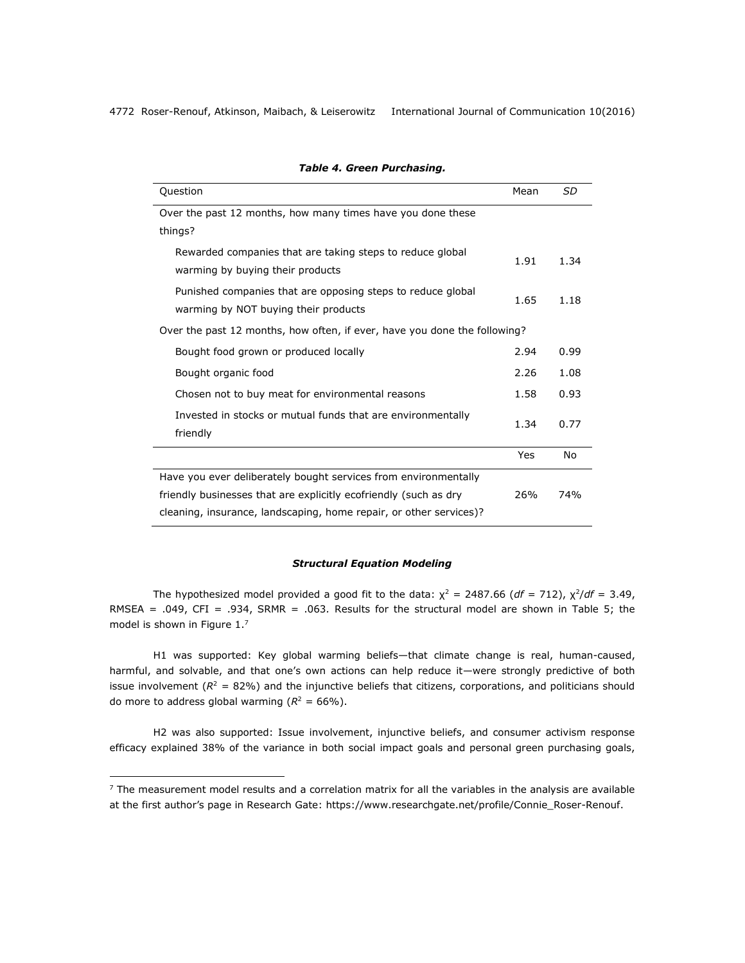| Question                                                                                            | Mean | SD   |
|-----------------------------------------------------------------------------------------------------|------|------|
| Over the past 12 months, how many times have you done these                                         |      |      |
| things?                                                                                             |      |      |
| Rewarded companies that are taking steps to reduce global<br>warming by buying their products       | 1.91 | 1.34 |
| Punished companies that are opposing steps to reduce global<br>warming by NOT buying their products | 1.65 | 1.18 |
| Over the past 12 months, how often, if ever, have you done the following?                           |      |      |
| Bought food grown or produced locally                                                               | 2.94 | 0.99 |
| Bought organic food                                                                                 | 2.26 | 1.08 |
| Chosen not to buy meat for environmental reasons                                                    | 1.58 | 0.93 |
| Invested in stocks or mutual funds that are environmentally<br>friendly                             | 1.34 | 0.77 |
|                                                                                                     | Yes  | No   |
| Have you ever deliberately bought services from environmentally                                     |      |      |
| friendly businesses that are explicitly ecofriendly (such as dry                                    | 26%  | 74%  |
| cleaning, insurance, landscaping, home repair, or other services)?                                  |      |      |

# *Table 4. Green Purchasing.*

# *Structural Equation Modeling*

The hypothesized model provided a good fit to the data:  $\chi^2 = 2487.66$  (df = 712),  $\chi^2/df = 3.49$ , RMSEA = .049, CFI = .934, SRMR = .063*.* Results for the structural model are shown in Table 5; the model is shown in Figure 1.<sup>7</sup>

H1 was supported: Key global warming beliefs—that climate change is real, human-caused, harmful, and solvable, and that one's own actions can help reduce it—were strongly predictive of both issue involvement  $(R^2 = 82%)$  and the injunctive beliefs that citizens, corporations, and politicians should do more to address global warming  $(R^2 = 66\%)$ .

H2 was also supported: Issue involvement, injunctive beliefs, and consumer activism response efficacy explained 38% of the variance in both social impact goals and personal green purchasing goals,

 $<sup>7</sup>$  The measurement model results and a correlation matrix for all the variables in the analysis are available</sup> at the first author's page in Research Gate: [https://www.researchgate.net/profile/Connie\\_Roser-Renouf.](https://www.researchgate.net/profile/Connie_Roser-Renouf)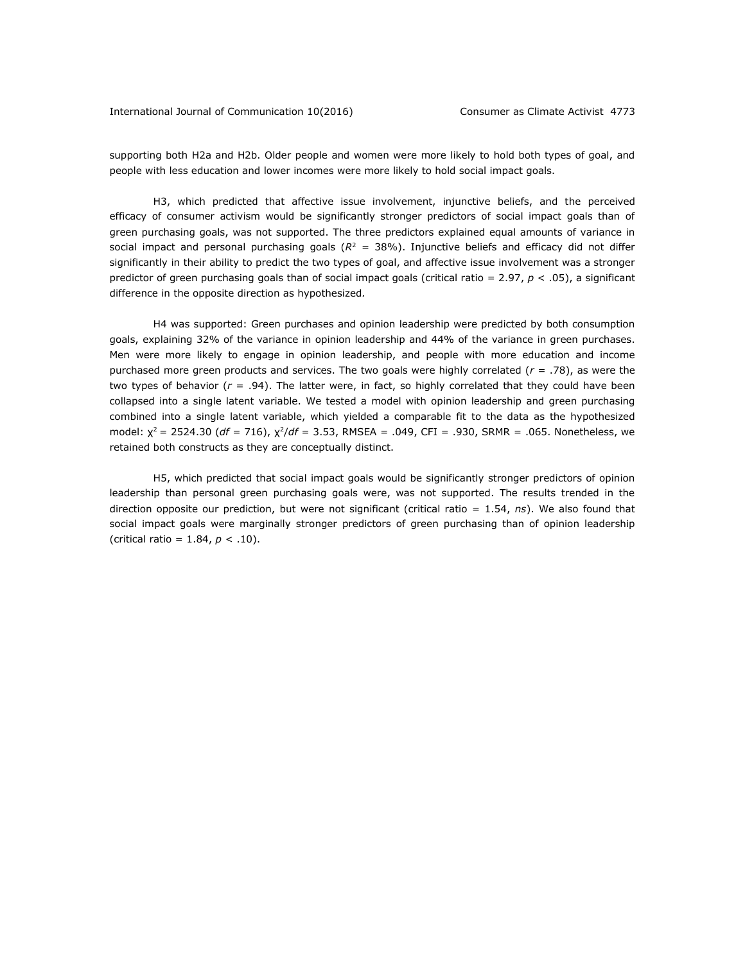supporting both H2a and H2b. Older people and women were more likely to hold both types of goal, and people with less education and lower incomes were more likely to hold social impact goals.

H3, which predicted that affective issue involvement, injunctive beliefs, and the perceived efficacy of consumer activism would be significantly stronger predictors of social impact goals than of green purchasing goals, was not supported. The three predictors explained equal amounts of variance in social impact and personal purchasing goals (*R* <sup>2</sup> *=* 38%). Injunctive beliefs and efficacy did not differ significantly in their ability to predict the two types of goal, and affective issue involvement was a stronger predictor of green purchasing goals than of social impact goals (critical ratio = 2.97, *p* < .05), a significant difference in the opposite direction as hypothesized*.* 

H4 was supported: Green purchases and opinion leadership were predicted by both consumption goals, explaining 32% of the variance in opinion leadership and 44% of the variance in green purchases. Men were more likely to engage in opinion leadership, and people with more education and income purchased more green products and services. The two goals were highly correlated (*r* = .78), as were the two types of behavior  $(r = .94)$ . The latter were, in fact, so highly correlated that they could have been collapsed into a single latent variable. We tested a model with opinion leadership and green purchasing combined into a single latent variable, which yielded a comparable fit to the data as the hypothesized model:  $\chi^2$  = 2524.30 (*df* = 716),  $\chi^2/df$  = 3.53, RMSEA = .049, CFI = .930, SRMR = .065. Nonetheless, we retained both constructs as they are conceptually distinct.

H5, which predicted that social impact goals would be significantly stronger predictors of opinion leadership than personal green purchasing goals were, was not supported. The results trended in the direction opposite our prediction, but were not significant (critical ratio = 1.54, *ns*). We also found that social impact goals were marginally stronger predictors of green purchasing than of opinion leadership (critical ratio =  $1.84, p < .10$ ).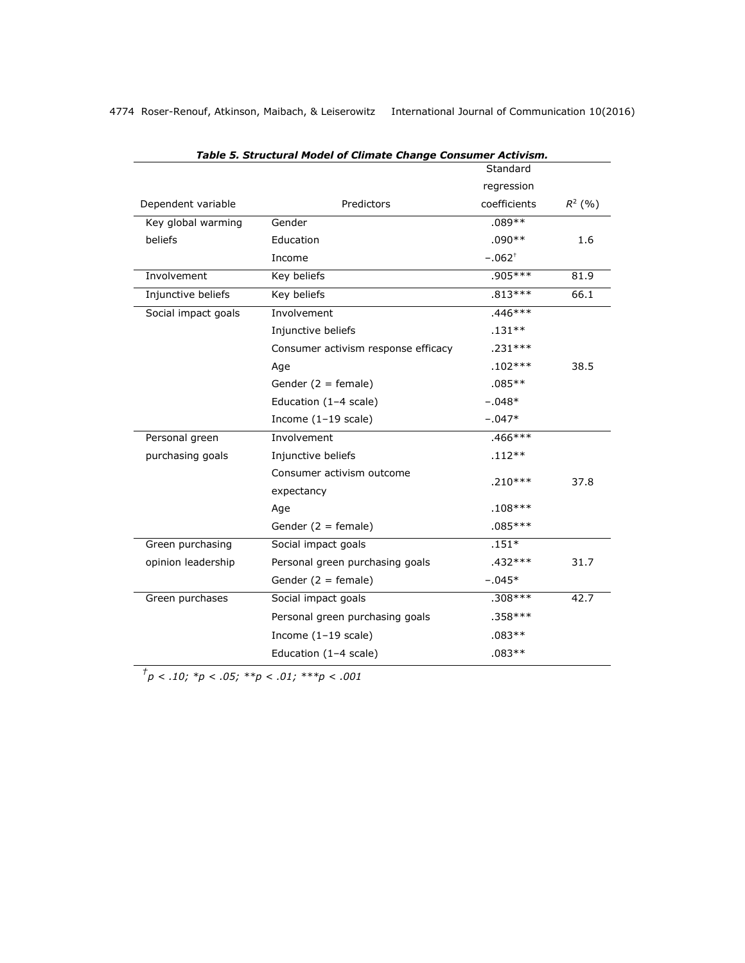|                     | rable 5. Structural model of chillate change consulier Activism. | Standard             |           |
|---------------------|------------------------------------------------------------------|----------------------|-----------|
|                     |                                                                  | regression           |           |
| Dependent variable  | Predictors                                                       | coefficients         | $R^2$ (%) |
| Key global warming  | Gender                                                           | $.089**$             |           |
| beliefs             | Education                                                        | $.090**$             | 1.6       |
|                     | Income                                                           | $-.062$ <sup>+</sup> |           |
| Involvement         | Key beliefs                                                      | $.905***$            | 81.9      |
| Injunctive beliefs  | Key beliefs                                                      | $.813***$            | 66.1      |
| Social impact goals | Involvement                                                      | $.446***$            |           |
|                     | Injunctive beliefs                                               | $.131**$             |           |
|                     | Consumer activism response efficacy                              | $.231***$            |           |
|                     | Age                                                              | $.102***$            | 38.5      |
|                     | Gender $(2 = female)$                                            | $.085**$             |           |
|                     | Education (1-4 scale)                                            | $-.048*$             |           |
|                     | Income $(1-19 \text{ scale})$                                    | $-.047*$             |           |
| Personal green      | Involvement                                                      | .466***              |           |
| purchasing goals    | Injunctive beliefs                                               | $.112**$             |           |
|                     | Consumer activism outcome<br>expectancy                          | $.210***$            | 37.8      |
|                     | Age                                                              | $.108***$            |           |
|                     | Gender $(2 =$ female)                                            | $.085***$            |           |
| Green purchasing    | Social impact goals                                              | $.151*$              |           |
| opinion leadership  | Personal green purchasing goals                                  | $.432***$            | 31.7      |
|                     | Gender $(2 = female)$                                            | $-.045*$             |           |
| Green purchases     | Social impact goals                                              | $.308***$            | 42.7      |
|                     | Personal green purchasing goals                                  | $.358***$            |           |
|                     | Income $(1-19 \text{ scale})$                                    | $.083**$             |           |
|                     | Education (1-4 scale)                                            | $.083**$             |           |

*Table 5. Structural Model of Climate Change Consumer Activism.*

 $^{t}p < .10;$   $^{*}p < .05;$   $^{*}p < .01;$   $^{*}p < .001$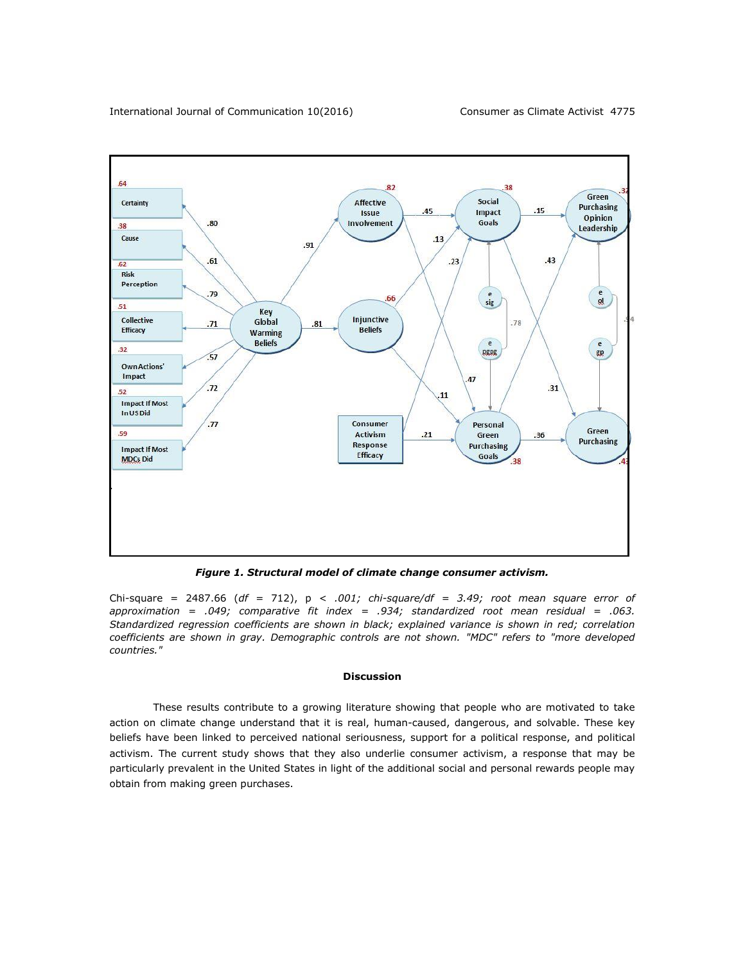

*Figure 1. Structural model of climate change consumer activism.* 

Chi-square = 2487.66 (*df =* 712), p *< .001; chi-square/df = 3.49; root mean square error of approximation = .049; comparative fit index = .934; standardized root mean residual = .063. Standardized regression coefficients are shown in black; explained variance is shown in red; correlation coefficients are shown in gray. Demographic controls are not shown. "MDC" refers to "more developed countries."*

#### **Discussion**

These results contribute to a growing literature showing that people who are motivated to take action on climate change understand that it is real, human-caused, dangerous, and solvable. These key beliefs have been linked to perceived national seriousness, support for a political response, and political activism. The current study shows that they also underlie consumer activism, a response that may be particularly prevalent in the United States in light of the additional social and personal rewards people may obtain from making green purchases.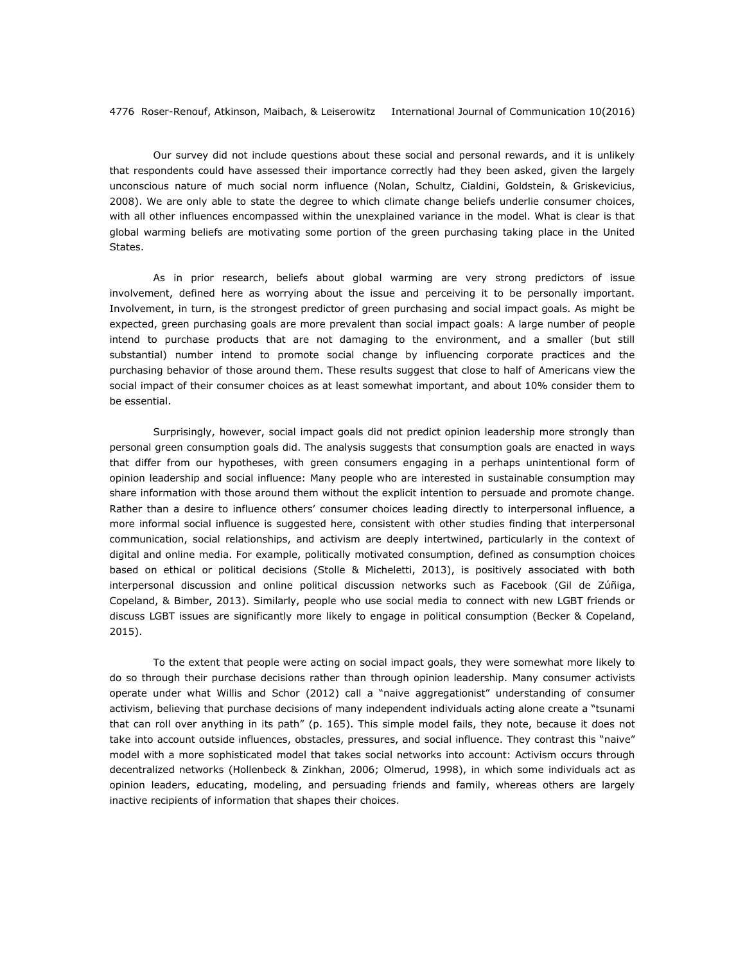Our survey did not include questions about these social and personal rewards, and it is unlikely that respondents could have assessed their importance correctly had they been asked, given the largely unconscious nature of much social norm influence (Nolan, Schultz, Cialdini, Goldstein, & Griskevicius, 2008). We are only able to state the degree to which climate change beliefs underlie consumer choices, with all other influences encompassed within the unexplained variance in the model. What is clear is that global warming beliefs are motivating some portion of the green purchasing taking place in the United States.

As in prior research, beliefs about global warming are very strong predictors of issue involvement, defined here as worrying about the issue and perceiving it to be personally important. Involvement, in turn, is the strongest predictor of green purchasing and social impact goals. As might be expected, green purchasing goals are more prevalent than social impact goals: A large number of people intend to purchase products that are not damaging to the environment, and a smaller (but still substantial) number intend to promote social change by influencing corporate practices and the purchasing behavior of those around them. These results suggest that close to half of Americans view the social impact of their consumer choices as at least somewhat important, and about 10% consider them to be essential.

Surprisingly, however, social impact goals did not predict opinion leadership more strongly than personal green consumption goals did. The analysis suggests that consumption goals are enacted in ways that differ from our hypotheses, with green consumers engaging in a perhaps unintentional form of opinion leadership and social influence: Many people who are interested in sustainable consumption may share information with those around them without the explicit intention to persuade and promote change. Rather than a desire to influence others' consumer choices leading directly to interpersonal influence, a more informal social influence is suggested here, consistent with other studies finding that interpersonal communication, social relationships, and activism are deeply intertwined, particularly in the context of digital and online media. For example, politically motivated consumption, defined as consumption choices based on ethical or political decisions (Stolle & Micheletti, 2013), is positively associated with both interpersonal discussion and online political discussion networks such as Facebook (Gil de Zúñiga, Copeland, & Bimber, 2013). Similarly, people who use social media to connect with new LGBT friends or discuss LGBT issues are significantly more likely to engage in political consumption (Becker & Copeland, 2015).

To the extent that people were acting on social impact goals, they were somewhat more likely to do so through their purchase decisions rather than through opinion leadership. Many consumer activists operate under what Willis and Schor (2012) call a "naive aggregationist" understanding of consumer activism, believing that purchase decisions of many independent individuals acting alone create a "tsunami that can roll over anything in its path" (p. 165). This simple model fails, they note, because it does not take into account outside influences, obstacles, pressures, and social influence. They contrast this "naive" model with a more sophisticated model that takes social networks into account: Activism occurs through decentralized networks (Hollenbeck & Zinkhan, 2006; Olmerud, 1998), in which some individuals act as opinion leaders, educating, modeling, and persuading friends and family, whereas others are largely inactive recipients of information that shapes their choices.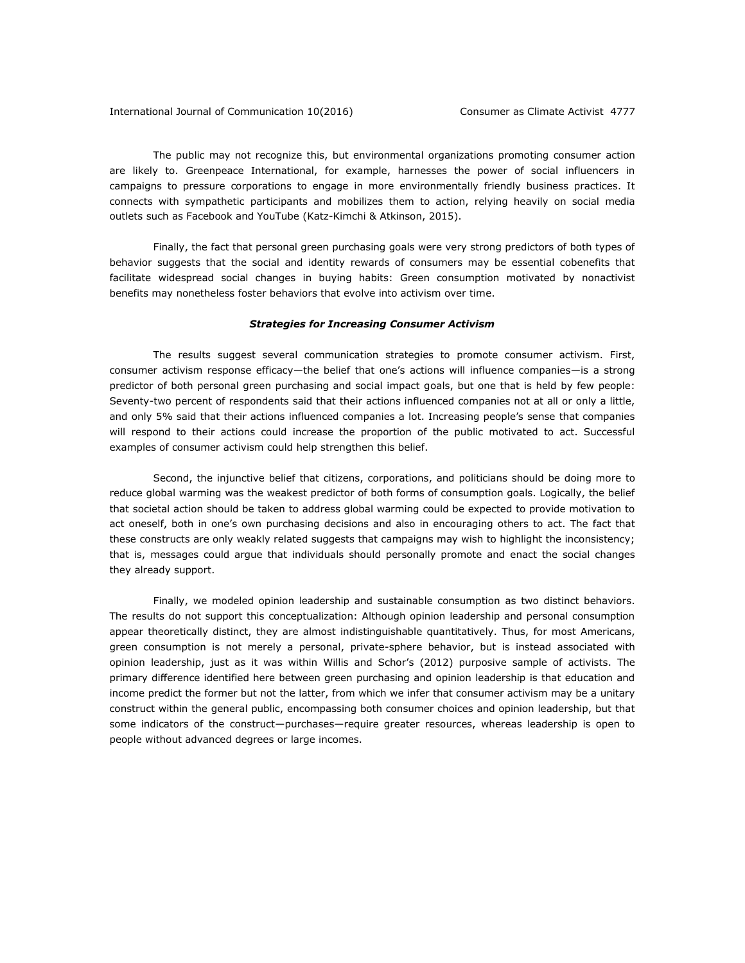The public may not recognize this, but environmental organizations promoting consumer action are likely to. Greenpeace International, for example, harnesses the power of social influencers in campaigns to pressure corporations to engage in more environmentally friendly business practices. It connects with sympathetic participants and mobilizes them to action, relying heavily on social media outlets such as Facebook and YouTube (Katz-Kimchi & Atkinson, 2015).

Finally, the fact that personal green purchasing goals were very strong predictors of both types of behavior suggests that the social and identity rewards of consumers may be essential cobenefits that facilitate widespread social changes in buying habits: Green consumption motivated by nonactivist benefits may nonetheless foster behaviors that evolve into activism over time.

### *Strategies for Increasing Consumer Activism*

The results suggest several communication strategies to promote consumer activism. First, consumer activism response efficacy—the belief that one's actions will influence companies—is a strong predictor of both personal green purchasing and social impact goals, but one that is held by few people: Seventy-two percent of respondents said that their actions influenced companies not at all or only a little, and only 5% said that their actions influenced companies a lot. Increasing people's sense that companies will respond to their actions could increase the proportion of the public motivated to act. Successful examples of consumer activism could help strengthen this belief.

Second, the injunctive belief that citizens, corporations, and politicians should be doing more to reduce global warming was the weakest predictor of both forms of consumption goals. Logically, the belief that societal action should be taken to address global warming could be expected to provide motivation to act oneself, both in one's own purchasing decisions and also in encouraging others to act. The fact that these constructs are only weakly related suggests that campaigns may wish to highlight the inconsistency; that is, messages could argue that individuals should personally promote and enact the social changes they already support.

Finally, we modeled opinion leadership and sustainable consumption as two distinct behaviors. The results do not support this conceptualization: Although opinion leadership and personal consumption appear theoretically distinct, they are almost indistinguishable quantitatively. Thus, for most Americans, green consumption is not merely a personal, private-sphere behavior, but is instead associated with opinion leadership, just as it was within Willis and Schor's (2012) purposive sample of activists. The primary difference identified here between green purchasing and opinion leadership is that education and income predict the former but not the latter, from which we infer that consumer activism may be a unitary construct within the general public, encompassing both consumer choices and opinion leadership, but that some indicators of the construct—purchases—require greater resources, whereas leadership is open to people without advanced degrees or large incomes.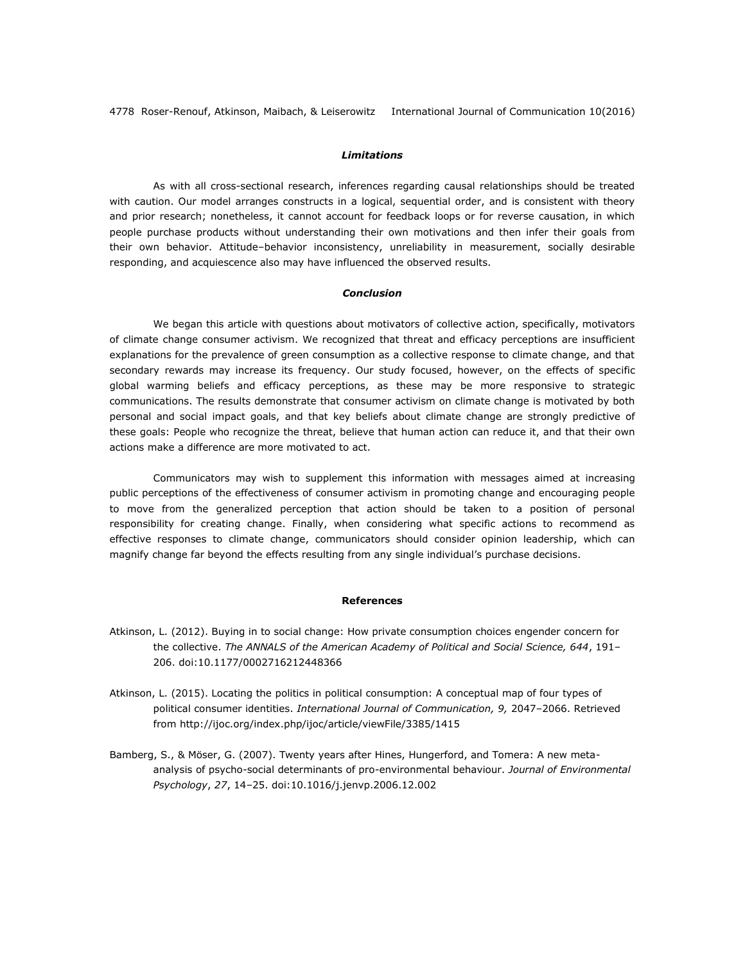# *Limitations*

As with all cross-sectional research, inferences regarding causal relationships should be treated with caution. Our model arranges constructs in a logical, sequential order, and is consistent with theory and prior research; nonetheless, it cannot account for feedback loops or for reverse causation, in which people purchase products without understanding their own motivations and then infer their goals from their own behavior. Attitude–behavior inconsistency, unreliability in measurement, socially desirable responding, and acquiescence also may have influenced the observed results.

# *Conclusion*

We began this article with questions about motivators of collective action, specifically, motivators of climate change consumer activism. We recognized that threat and efficacy perceptions are insufficient explanations for the prevalence of green consumption as a collective response to climate change, and that secondary rewards may increase its frequency. Our study focused, however, on the effects of specific global warming beliefs and efficacy perceptions, as these may be more responsive to strategic communications. The results demonstrate that consumer activism on climate change is motivated by both personal and social impact goals, and that key beliefs about climate change are strongly predictive of these goals: People who recognize the threat, believe that human action can reduce it, and that their own actions make a difference are more motivated to act.

Communicators may wish to supplement this information with messages aimed at increasing public perceptions of the effectiveness of consumer activism in promoting change and encouraging people to move from the generalized perception that action should be taken to a position of personal responsibility for creating change. Finally, when considering what specific actions to recommend as effective responses to climate change, communicators should consider opinion leadership, which can magnify change far beyond the effects resulting from any single individual's purchase decisions.

# **References**

- Atkinson, L. (2012). Buying in to social change: How private consumption choices engender concern for the collective. *The ANNALS of the American Academy of Political and Social Science, 644*, 191– 206. doi:10.1177/0002716212448366
- Atkinson, L. (2015). Locating the politics in political consumption: A conceptual map of four types of political consumer identities. *International Journal of Communication, 9,* 2047–2066. Retrieved from<http://ijoc.org/index.php/ijoc/article/viewFile/3385/1415>
- Bamberg, S., & Möser, G. (2007). Twenty years after Hines, Hungerford, and Tomera: A new metaanalysis of psycho-social determinants of pro-environmental behaviour. *Journal of Environmental Psychology*, *27*, 14–25. doi:10.1016/j.jenvp.2006.12.002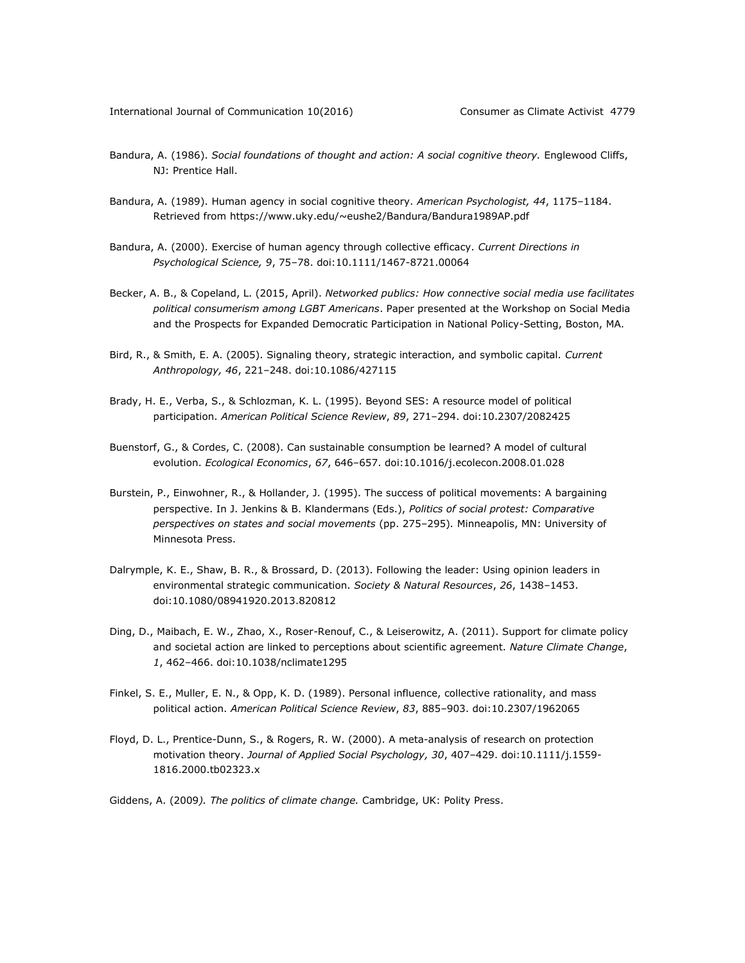- Bandura, A. (1986). *Social foundations of thought and action: A social cognitive theory.* Englewood Cliffs, NJ: Prentice Hall.
- Bandura, A. (1989). Human agency in social cognitive theory. *American Psychologist, 44*, 1175–1184. Retrieved from<https://www.uky.edu/~eushe2/Bandura/Bandura1989AP.pdf>
- Bandura, A. (2000). Exercise of human agency through collective efficacy. *Current Directions in Psychological Science, 9*, 75–78. doi:10.1111/1467-8721.00064
- Becker, A. B., & Copeland, L. (2015, April). *Networked publics: How connective social media use facilitates political consumerism among LGBT Americans*. Paper presented at the Workshop on Social Media and the Prospects for Expanded Democratic Participation in National Policy-Setting, Boston, MA.
- Bird, R., & Smith, E. A. (2005). Signaling theory, strategic interaction, and symbolic capital. *Current Anthropology, 46*, 221–248. doi:10.1086/427115
- Brady, H. E., Verba, S., & Schlozman, K. L. (1995). Beyond SES: A resource model of political participation. *American Political Science Review*, *89*, 271–294. doi:10.2307/2082425
- Buenstorf, G., & Cordes, C. (2008). Can sustainable consumption be learned? A model of cultural evolution. *Ecological Economics*, *67*, 646–657. doi:10.1016/j.ecolecon.2008.01.028
- Burstein, P., Einwohner, R., & Hollander, J. (1995). The success of political movements: A bargaining perspective. In J. Jenkins & B. Klandermans (Eds.), *Politics of social protest: Comparative perspectives on states and social movements* (pp. 275–295)*.* Minneapolis, MN: University of Minnesota Press.
- Dalrymple, K. E., Shaw, B. R., & Brossard, D. (2013). Following the leader: Using opinion leaders in environmental strategic communication. *Society & Natural Resources*, *26*, 1438–1453. doi:10.1080/08941920.2013.820812
- Ding, D., Maibach, E. W., Zhao, X., Roser-Renouf, C., & Leiserowitz, A. (2011). Support for climate policy and societal action are linked to perceptions about scientific agreement. *Nature Climate Change*, *1*, 462–466. doi:10.1038/nclimate1295
- Finkel, S. E., Muller, E. N., & Opp, K. D. (1989). Personal influence, collective rationality, and mass political action. *American Political Science Review*, *83*, 885–903. doi:10.2307/1962065
- Floyd, D. L., Prentice-Dunn, S., & Rogers, R. W. (2000). A meta-analysis of research on protection motivation theory. *Journal of Applied Social Psychology, 30*, 407–429. doi:10.1111/j.1559- 1816.2000.tb02323.x
- Giddens, A. (2009*). The politics of climate change.* Cambridge, UK: Polity Press.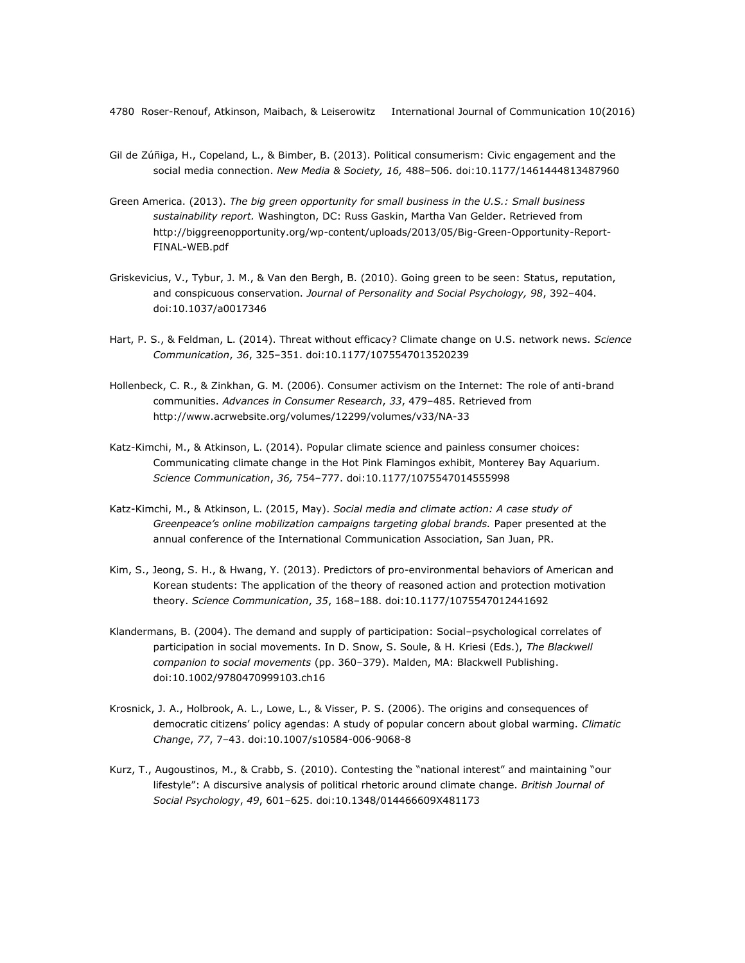- Gil de Zúñiga, H., Copeland, L., & Bimber, B. (2013). Political consumerism: Civic engagement and the social media connection. *New Media & Society, 16,* 488–506. doi:10.1177/1461444813487960
- Green America. (2013). *The big green opportunity for small business in the U.S.: Small business sustainability report.* Washington, DC: Russ Gaskin, Martha Van Gelder. Retrieved from [http://biggreenopportunity.org/wp-content/uploads/2013/05/Big-Green-Opportunity-Report-](http://biggreenopportunity.org/wp-content/uploads/2013/05/Big-Green-Opportunity-Report-FINAL-WEB.pdf)[FINAL-WEB.pdf](http://biggreenopportunity.org/wp-content/uploads/2013/05/Big-Green-Opportunity-Report-FINAL-WEB.pdf)
- Griskevicius, V., Tybur, J. M., & Van den Bergh, B. (2010). Going green to be seen: Status, reputation, and conspicuous conservation. *Journal of Personality and Social Psychology, 98*, 392–404. doi:10.1037/a0017346
- Hart, P. S., & Feldman, L. (2014). Threat without efficacy? Climate change on U.S. network news. *Science Communication*, *36*, 325–351. doi:10.1177/1075547013520239
- Hollenbeck, C. R., & Zinkhan, G. M. (2006). Consumer activism on the Internet: The role of anti-brand communities. *Advances in Consumer Research*, *33*, 479–485. Retrieved from <http://www.acrwebsite.org/volumes/12299/volumes/v33/NA-33>
- Katz-Kimchi, M., & Atkinson, L. (2014). Popular climate science and painless consumer choices: Communicating climate change in the Hot Pink Flamingos exhibit, Monterey Bay Aquarium. *Science Communication*, *36,* 754–777. doi:10.1177/1075547014555998
- Katz-Kimchi, M., & Atkinson, L. (2015, May). *Social media and climate action: A case study of Greenpeace's online mobilization campaigns targeting global brands.* Paper presented at the annual conference of the International Communication Association, San Juan, PR.
- Kim, S., Jeong, S. H., & Hwang, Y. (2013). Predictors of pro-environmental behaviors of American and Korean students: The application of the theory of reasoned action and protection motivation theory. *Science Communication*, *35*, 168–188. doi:10.1177/1075547012441692
- Klandermans, B. (2004). The demand and supply of participation: Social–psychological correlates of participation in social movements. In D. Snow, S. Soule, & H. Kriesi (Eds.), *The Blackwell companion to social movements* (pp. 360–379). Malden, MA: Blackwell Publishing. doi:10.1002/9780470999103.ch16
- Krosnick, J. A., Holbrook, A. L., Lowe, L., & Visser, P. S. (2006). The origins and consequences of democratic citizens' policy agendas: A study of popular concern about global warming. *Climatic Change*, *77*, 7–43. doi:10.1007/s10584-006-9068-8
- Kurz, T., Augoustinos, M., & Crabb, S. (2010). Contesting the "national interest" and maintaining "our lifestyle": A discursive analysis of political rhetoric around climate change. *British Journal of Social Psychology*, *49*, 601–625. doi:10.1348/014466609X481173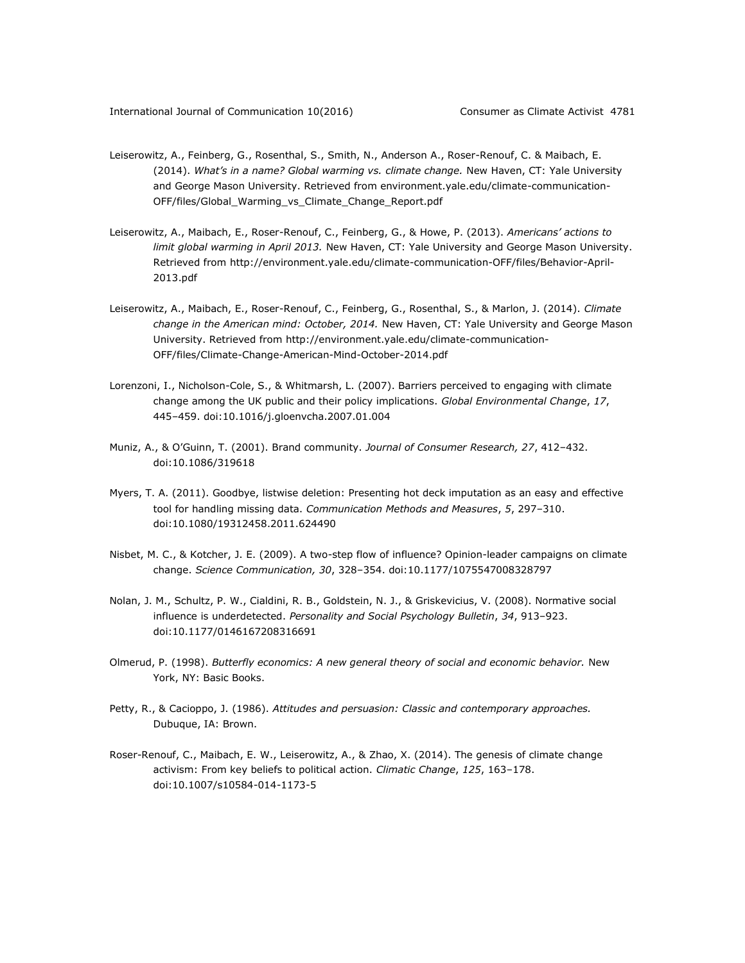- Leiserowitz, A., Feinberg, G., Rosenthal, S., Smith, N., Anderson A., Roser-Renouf, C. & Maibach, E. (2014). *What's in a name? Global warming vs. climate change.* New Haven, CT: Yale University and George Mason University. Retrieved from environment.yale.edu/climate-communication-OFF/files/Global\_Warming\_vs\_Climate\_Change\_Report.pdf
- Leiserowitz, A., Maibach, E., Roser-Renouf, C., Feinberg, G., & Howe, P. (2013). *Americans' actions to limit global warming in April 2013.* New Haven, CT: Yale University and George Mason University. Retrieved from [http://environment.yale.edu/climate-communication-OFF/files/Behavior-April-](http://environment.yale.edu/climate-communication-OFF/files/Behavior-April-2013.pdf)[2013.pdf](http://environment.yale.edu/climate-communication-OFF/files/Behavior-April-2013.pdf)
- Leiserowitz, A., Maibach, E., Roser-Renouf, C., Feinberg, G., Rosenthal, S., & Marlon, J. (2014). *Climate change in the American mind: October, 2014.* New Haven, CT: Yale University and George Mason University. Retrieved from [http://environment.yale.edu/climate-communication-](http://environment.yale.edu/climate-communication-OFF/files/Climate-Change-American-Mind-October-2014.pdf)[OFF/files/Climate-Change-American-Mind-October-2014.pdf](http://environment.yale.edu/climate-communication-OFF/files/Climate-Change-American-Mind-October-2014.pdf)
- Lorenzoni, I., Nicholson-Cole, S., & Whitmarsh, L. (2007). Barriers perceived to engaging with climate change among the UK public and their policy implications. *Global Environmental Change*, *17*, 445–459. doi:10.1016/j.gloenvcha.2007.01.004
- Muniz, A., & O'Guinn, T. (2001). Brand community. *Journal of Consumer Research, 27*, 412–432. doi:10.1086/319618
- Myers, T. A. (2011). Goodbye, listwise deletion: Presenting hot deck imputation as an easy and effective tool for handling missing data. *Communication Methods and Measures*, *5*, 297–310. doi:10.1080/19312458.2011.624490
- Nisbet, M. C., & Kotcher, J. E. (2009). A two-step flow of influence? Opinion-leader campaigns on climate change. *Science Communication, 30*, 328–354. doi:10.1177/1075547008328797
- Nolan, J. M., Schultz, P. W., Cialdini, R. B., Goldstein, N. J., & Griskevicius, V. (2008). Normative social influence is underdetected. *Personality and Social Psychology Bulletin*, *34*, 913–923. doi:10.1177/0146167208316691
- Olmerud, P. (1998). *Butterfly economics: A new general theory of social and economic behavior*. New York, NY: Basic Books.
- Petty, R., & Cacioppo, J. (1986). *Attitudes and persuasion: Classic and contemporary approaches.* Dubuque, IA: Brown.
- Roser-Renouf, C., Maibach, E. W., Leiserowitz, A., & Zhao, X. (2014). The genesis of climate change activism: From key beliefs to political action. *Climatic Change*, *125*, 163–178. doi:10.1007/s10584-014-1173-5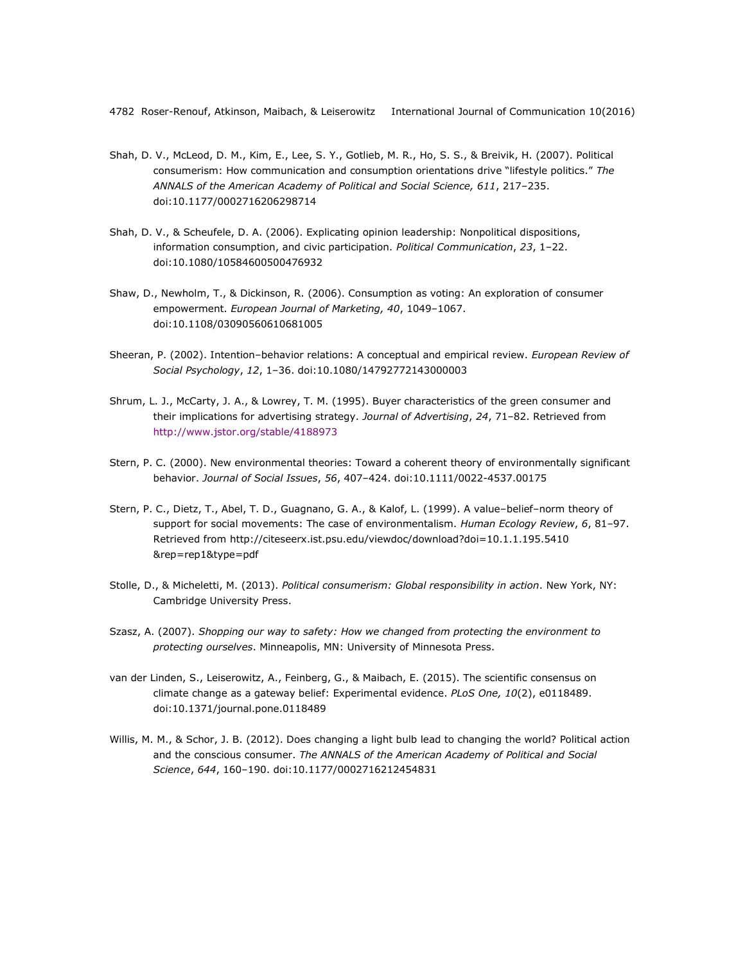- Shah, D. V., McLeod, D. M., Kim, E., Lee, S. Y., Gotlieb, M. R., Ho, S. S., & Breivik, H. (2007). Political consumerism: How communication and consumption orientations drive "lifestyle politics." *The ANNALS of the American Academy of Political and Social Science, 611*, 217–235. doi:10.1177/0002716206298714
- Shah, D. V., & Scheufele, D. A. (2006). Explicating opinion leadership: Nonpolitical dispositions, information consumption, and civic participation. *Political Communication*, *23*, 1–22. doi:10.1080/10584600500476932
- Shaw, D., Newholm, T., & Dickinson, R. (2006). Consumption as voting: An exploration of consumer empowerment. *European Journal of Marketing, 40*, 1049–1067. doi:10.1108/03090560610681005
- Sheeran, P. (2002). Intention–behavior relations: A conceptual and empirical review. *European Review of Social Psychology*, *12*, 1–36. doi:10.1080/14792772143000003
- Shrum, L. J., McCarty, J. A., & Lowrey, T. M. (1995). Buyer characteristics of the green consumer and their implications for advertising strategy. *Journal of Advertising*, *24*, 71–82. Retrieved from <http://www.jstor.org/stable/4188973>
- Stern, P. C. (2000). New environmental theories: Toward a coherent theory of environmentally significant behavior. *Journal of Social Issues*, *56*, 407–424. doi:10.1111/0022-4537.00175
- Stern, P. C., Dietz, T., Abel, T. D., Guagnano, G. A., & Kalof, L. (1999). A value–belief–norm theory of support for social movements: The case of environmentalism. *Human Ecology Review*, *6*, 81–97. Retrieved from [http://citeseerx.ist.psu.edu/viewdoc/download?doi=10.1.1.195.5410](http://citeseerx.ist.psu.edu/viewdoc/download?doi=10.1.1.195.5410%0b&rep=rep1&type=pdf) [&rep=rep1&type=pdf](http://citeseerx.ist.psu.edu/viewdoc/download?doi=10.1.1.195.5410%0b&rep=rep1&type=pdf)
- Stolle, D., & Micheletti, M. (2013). *Political consumerism: Global responsibility in action*. New York, NY: Cambridge University Press.
- Szasz, A. (2007). *Shopping our way to safety: How we changed from protecting the environment to protecting ourselves*. Minneapolis, MN: University of Minnesota Press.
- van der Linden, S., [Leiserowitz,](https://www.researchgate.net/researcher/2083670184_Anthony_A_Leiserowitz) A., Feinberg, G., & Maibach, E. (2015). [The scientific consensus on](https://www.researchgate.net/publication/272839435_The_Scientific_Consensus_on_Climate_Change_as_a_Gateway_Belief_Experimental_Evidence?ev=prf_pub)  [climate change as a gateway belief: Experimental evidence.](https://www.researchgate.net/publication/272839435_The_Scientific_Consensus_on_Climate_Change_as_a_Gateway_Belief_Experimental_Evidence?ev=prf_pub) *PLoS One, 10*(2), e0118489. doi:10.1371/journal.pone.0118489
- Willis, M. M., & Schor, J. B. (2012). Does changing a light bulb lead to changing the world? Political action and the conscious consumer. *The ANNALS of the American Academy of Political and Social Science*, *644*, 160–190. doi:10.1177/0002716212454831